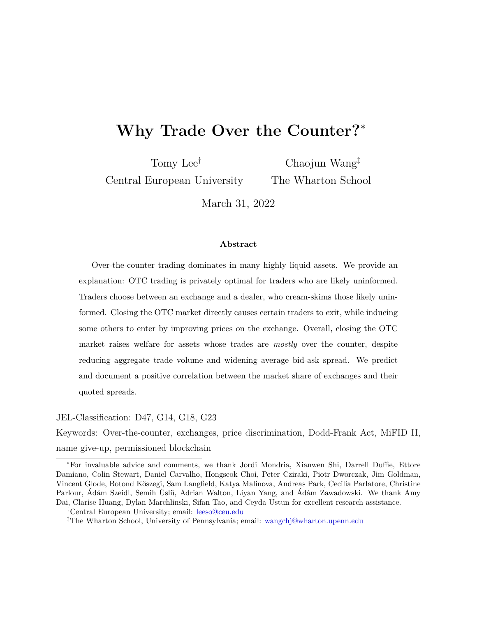## **Why Trade Over the Counter?**<sup>∗</sup>

Tomy Lee†

Central European University

Chaojun Wang‡ The Wharton School

March 31, 2022

#### **Abstract**

Over-the-counter trading dominates in many highly liquid assets. We provide an explanation: OTC trading is privately optimal for traders who are likely uninformed. Traders choose between an exchange and a dealer, who cream-skims those likely uninformed. Closing the OTC market directly causes certain traders to exit, while inducing some others to enter by improving prices on the exchange. Overall, closing the OTC market raises welfare for assets whose trades are *mostly* over the counter, despite reducing aggregate trade volume and widening average bid-ask spread. We predict and document a positive correlation between the market share of exchanges and their quoted spreads.

JEL-Classification: D47, G14, G18, G23

Keywords: Over-the-counter, exchanges, price discrimination, Dodd-Frank Act, MiFID II, name give-up, permissioned blockchain

<sup>∗</sup>For invaluable advice and comments, we thank Jordi Mondria, Xianwen Shi, Darrell Duffie, Ettore Damiano, Colin Stewart, Daniel Carvalho, Hongseok Choi, Peter Cziraki, Piotr Dworczak, Jim Goldman, Vincent Glode, Botond Kőszegi, Sam Langfield, Katya Malinova, Andreas Park, Cecilia Parlatore, Christine Parlour, Ádám Szeidl, Semih Üslü, Adrian Walton, Liyan Yang, and Ádám Zawadowski. We thank Amy Dai, Clarise Huang, Dylan Marchlinski, Sifan Tao, and Ceyda Ustun for excellent research assistance.

<sup>†</sup>Central European University; email: [leeso@ceu.edu](mailto:leeso@ceu.edu)

<sup>‡</sup>The Wharton School, University of Pennsylvania; email: [wangchj@wharton.upenn.edu](mailto:wangchj@wharton.upenn.edu)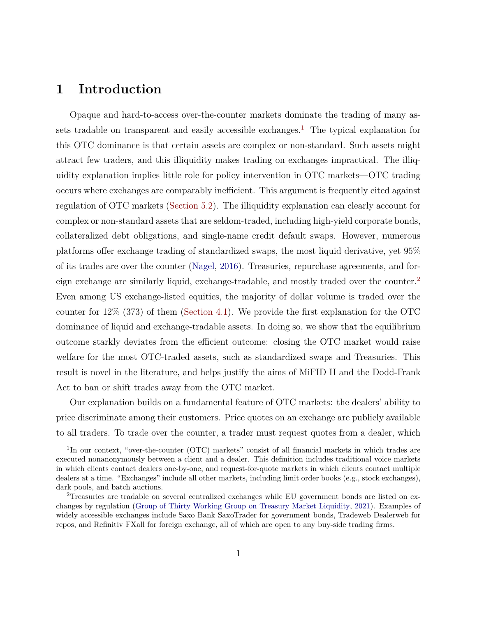## **1 Introduction**

Opaque and hard-to-access over-the-counter markets dominate the trading of many as-sets tradable on transparent and easily accessible exchanges.<sup>[1](#page-1-0)</sup> The typical explanation for this OTC dominance is that certain assets are complex or non-standard. Such assets might attract few traders, and this illiquidity makes trading on exchanges impractical. The illiquidity explanation implies little role for policy intervention in OTC markets—OTC trading occurs where exchanges are comparably inefficient. This argument is frequently cited against regulation of OTC markets [\(Section 5.2\)](#page-31-0). The illiquidity explanation can clearly account for complex or non-standard assets that are seldom-traded, including high-yield corporate bonds, collateralized debt obligations, and single-name credit default swaps. However, numerous platforms offer exchange trading of standardized swaps, the most liquid derivative, yet 95% of its trades are over the counter [\(Nagel,](#page-50-0) [2016\)](#page-50-0). Treasuries, repurchase agreements, and for-eign exchange are similarly liquid, exchange-tradable, and mostly traded over the counter.<sup>[2](#page-1-1)</sup> Even among US exchange-listed equities, the majority of dollar volume is traded over the counter for 12% (373) of them [\(Section 4.1\)](#page-22-0). We provide the first explanation for the OTC dominance of liquid and exchange-tradable assets. In doing so, we show that the equilibrium outcome starkly deviates from the efficient outcome: closing the OTC market would raise welfare for the most OTC-traded assets, such as standardized swaps and Treasuries. This result is novel in the literature, and helps justify the aims of MiFID II and the Dodd-Frank Act to ban or shift trades away from the OTC market.

Our explanation builds on a fundamental feature of OTC markets: the dealers' ability to price discriminate among their customers. Price quotes on an exchange are publicly available to all traders. To trade over the counter, a trader must request quotes from a dealer, which

<span id="page-1-0"></span><sup>&</sup>lt;sup>1</sup>In our context, "over-the-counter (OTC) markets" consist of all financial markets in which trades are executed nonanonymously between a client and a dealer. This definition includes traditional voice markets in which clients contact dealers one-by-one, and request-for-quote markets in which clients contact multiple dealers at a time. "Exchanges" include all other markets, including limit order books (e.g., stock exchanges), dark pools, and batch auctions.

<span id="page-1-1"></span><sup>2</sup>Treasuries are tradable on several centralized exchanges while EU government bonds are listed on exchanges by regulation [\(Group of Thirty Working Group on Treasury Market Liquidity,](#page-48-0) [2021\)](#page-48-0). Examples of widely accessible exchanges include Saxo Bank SaxoTrader for government bonds, Tradeweb Dealerweb for repos, and Refinitiv FXall for foreign exchange, all of which are open to any buy-side trading firms.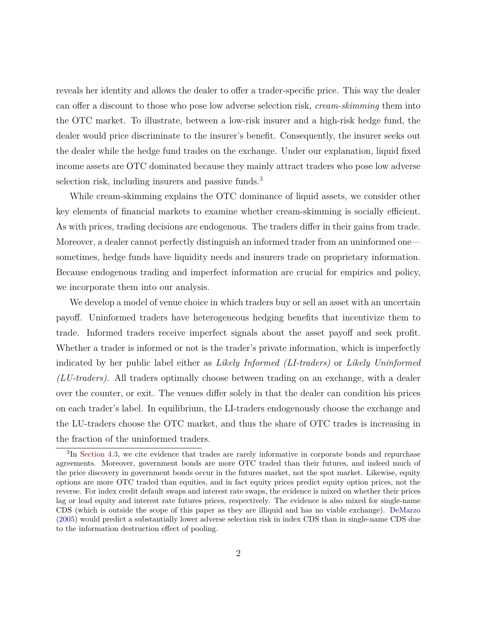reveals her identity and allows the dealer to offer a trader-specific price. This way the dealer can offer a discount to those who pose low adverse selection risk, *cream-skimming* them into the OTC market. To illustrate, between a low-risk insurer and a high-risk hedge fund, the dealer would price discriminate to the insurer's benefit. Consequently, the insurer seeks out the dealer while the hedge fund trades on the exchange. Under our explanation, liquid fixed income assets are OTC dominated because they mainly attract traders who pose low adverse selection risk, including insurers and passive funds.<sup>[3](#page-2-0)</sup>

While cream-skimming explains the OTC dominance of liquid assets, we consider other key elements of financial markets to examine whether cream-skimming is socially efficient. As with prices, trading decisions are endogenous. The traders differ in their gains from trade. Moreover, a dealer cannot perfectly distinguish an informed trader from an uninformed one sometimes, hedge funds have liquidity needs and insurers trade on proprietary information. Because endogenous trading and imperfect information are crucial for empirics and policy, we incorporate them into our analysis.

We develop a model of venue choice in which traders buy or sell an asset with an uncertain payoff. Uninformed traders have heterogeneous hedging benefits that incentivize them to trade. Informed traders receive imperfect signals about the asset payoff and seek profit. Whether a trader is informed or not is the trader's private information, which is imperfectly indicated by her public label either as *Likely Informed (LI-traders)* or *Likely Uninformed (LU-traders)*. All traders optimally choose between trading on an exchange, with a dealer over the counter, or exit. The venues differ solely in that the dealer can condition his prices on each trader's label. In equilibrium, the LI-traders endogenously choose the exchange and the LU-traders choose the OTC market, and thus the share of OTC trades is increasing in the fraction of the uninformed traders.

<span id="page-2-0"></span><sup>&</sup>lt;sup>3</sup>In [Section 4.3,](#page-25-0) we cite evidence that trades are rarely informative in corporate bonds and repurchase agreements. Moreover, government bonds are more OTC traded than their futures, and indeed much of the price discovery in government bonds occur in the futures market, not the spot market. Likewise, equity options are more OTC traded than equities, and in fact equity prices predict equity option prices, not the reverse. For index credit default swaps and interest rate swaps, the evidence is mixed on whether their prices lag or lead equity and interest rate futures prices, respectively. The evidence is also mixed for single-name CDS (which is outside the scope of this paper as they are illiquid and has no viable exchange). [DeMarzo](#page-47-0) [\(2005\)](#page-47-0) would predict a substantially lower adverse selection risk in index CDS than in single-name CDS due to the information destruction effect of pooling.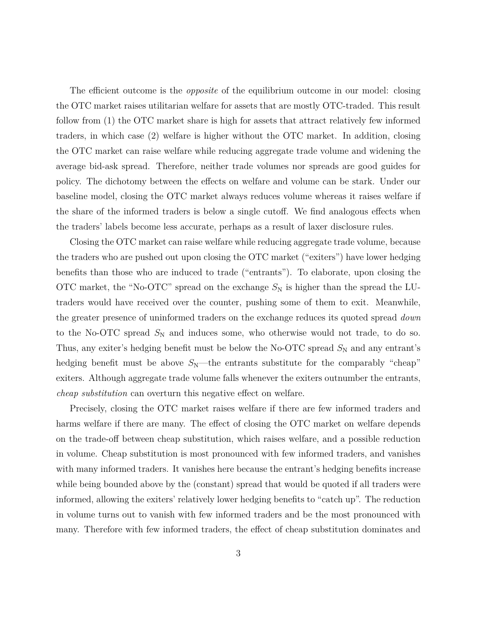The efficient outcome is the *opposite* of the equilibrium outcome in our model: closing the OTC market raises utilitarian welfare for assets that are mostly OTC-traded. This result follow from (1) the OTC market share is high for assets that attract relatively few informed traders, in which case (2) welfare is higher without the OTC market. In addition, closing the OTC market can raise welfare while reducing aggregate trade volume and widening the average bid-ask spread. Therefore, neither trade volumes nor spreads are good guides for policy. The dichotomy between the effects on welfare and volume can be stark. Under our baseline model, closing the OTC market always reduces volume whereas it raises welfare if the share of the informed traders is below a single cutoff. We find analogous effects when the traders' labels become less accurate, perhaps as a result of laxer disclosure rules.

Closing the OTC market can raise welfare while reducing aggregate trade volume, because the traders who are pushed out upon closing the OTC market ("exiters") have lower hedging benefits than those who are induced to trade ("entrants"). To elaborate, upon closing the OTC market, the "No-OTC" spread on the exchange  $S_N$  is higher than the spread the LUtraders would have received over the counter, pushing some of them to exit. Meanwhile, the greater presence of uninformed traders on the exchange reduces its quoted spread *down* to the No-OTC spread  $S_N$  and induces some, who otherwise would not trade, to do so. Thus, any exiter's hedging benefit must be below the No-OTC spread  $S_N$  and any entrant's hedging benefit must be above  $S_N$ —the entrants substitute for the comparably "cheap" exiters. Although aggregate trade volume falls whenever the exiters outnumber the entrants, *cheap substitution* can overturn this negative effect on welfare.

Precisely, closing the OTC market raises welfare if there are few informed traders and harms welfare if there are many. The effect of closing the OTC market on welfare depends on the trade-off between cheap substitution, which raises welfare, and a possible reduction in volume. Cheap substitution is most pronounced with few informed traders, and vanishes with many informed traders. It vanishes here because the entrant's hedging benefits increase while being bounded above by the (constant) spread that would be quoted if all traders were informed, allowing the exiters' relatively lower hedging benefits to "catch up". The reduction in volume turns out to vanish with few informed traders and be the most pronounced with many. Therefore with few informed traders, the effect of cheap substitution dominates and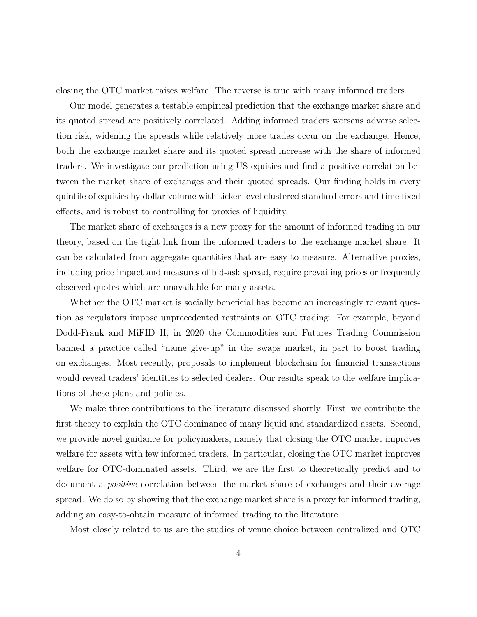closing the OTC market raises welfare. The reverse is true with many informed traders.

Our model generates a testable empirical prediction that the exchange market share and its quoted spread are positively correlated. Adding informed traders worsens adverse selection risk, widening the spreads while relatively more trades occur on the exchange. Hence, both the exchange market share and its quoted spread increase with the share of informed traders. We investigate our prediction using US equities and find a positive correlation between the market share of exchanges and their quoted spreads. Our finding holds in every quintile of equities by dollar volume with ticker-level clustered standard errors and time fixed effects, and is robust to controlling for proxies of liquidity.

The market share of exchanges is a new proxy for the amount of informed trading in our theory, based on the tight link from the informed traders to the exchange market share. It can be calculated from aggregate quantities that are easy to measure. Alternative proxies, including price impact and measures of bid-ask spread, require prevailing prices or frequently observed quotes which are unavailable for many assets.

Whether the OTC market is socially beneficial has become an increasingly relevant question as regulators impose unprecedented restraints on OTC trading. For example, beyond Dodd-Frank and MiFID II, in 2020 the Commodities and Futures Trading Commission banned a practice called "name give-up" in the swaps market, in part to boost trading on exchanges. Most recently, proposals to implement blockchain for financial transactions would reveal traders' identities to selected dealers. Our results speak to the welfare implications of these plans and policies.

We make three contributions to the literature discussed shortly. First, we contribute the first theory to explain the OTC dominance of many liquid and standardized assets. Second, we provide novel guidance for policymakers, namely that closing the OTC market improves welfare for assets with few informed traders. In particular, closing the OTC market improves welfare for OTC-dominated assets. Third, we are the first to theoretically predict and to document a *positive* correlation between the market share of exchanges and their average spread. We do so by showing that the exchange market share is a proxy for informed trading, adding an easy-to-obtain measure of informed trading to the literature.

Most closely related to us are the studies of venue choice between centralized and OTC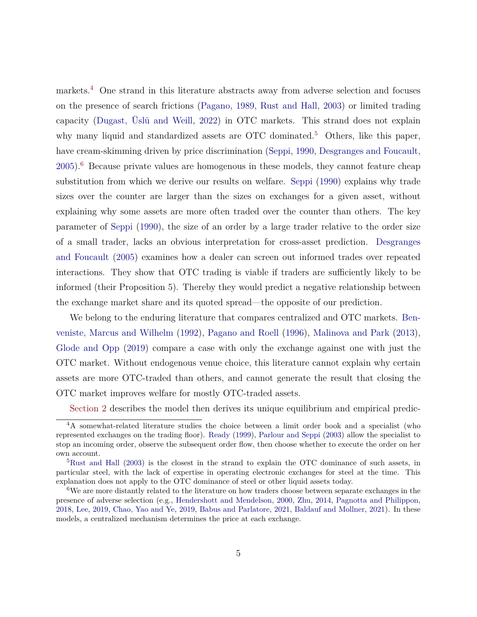markets.[4](#page-5-0) One strand in this literature abstracts away from adverse selection and focuses on the presence of search frictions [\(Pagano,](#page-50-1) [1989,](#page-50-1) [Rust and Hall,](#page-50-2) [2003\)](#page-50-2) or limited trading capacity [\(Dugast, Üslü and Weill,](#page-48-1) [2022\)](#page-48-1) in OTC markets. This strand does not explain why many liquid and standardized assets are OTC dominated.<sup>[5](#page-5-1)</sup> Others, like this paper, have cream-skimming driven by price discrimination [\(Seppi,](#page-51-0) [1990,](#page-51-0) [Desgranges and Foucault,](#page-47-1)  $2005$ .<sup>[6](#page-5-2)</sup> Because private values are homogenous in these models, they cannot feature cheap substitution from which we derive our results on welfare. [Seppi](#page-51-0) [\(1990\)](#page-51-0) explains why trade sizes over the counter are larger than the sizes on exchanges for a given asset, without explaining why some assets are more often traded over the counter than others. The key parameter of [Seppi](#page-51-0) [\(1990\)](#page-51-0), the size of an order by a large trader relative to the order size of a small trader, lacks an obvious interpretation for cross-asset prediction. [Desgranges](#page-47-1) [and Foucault](#page-47-1) [\(2005\)](#page-47-1) examines how a dealer can screen out informed trades over repeated interactions. They show that OTC trading is viable if traders are sufficiently likely to be informed (their Proposition 5). Thereby they would predict a negative relationship between the exchange market share and its quoted spread—the opposite of our prediction.

We belong to the enduring literature that compares centralized and OTC markets. [Ben](#page-46-0)[veniste, Marcus and Wilhelm](#page-46-0) [\(1992\)](#page-46-0), [Pagano and Roell](#page-50-3) [\(1996\)](#page-50-3), [Malinova and Park](#page-49-0) [\(2013\)](#page-49-0), [Glode and Opp](#page-48-2) [\(2019\)](#page-48-2) compare a case with only the exchange against one with just the OTC market. Without endogenous venue choice, this literature cannot explain why certain assets are more OTC-traded than others, and cannot generate the result that closing the OTC market improves welfare for mostly OTC-traded assets.

<span id="page-5-0"></span>[Section 2](#page-6-0) describes the model then derives its unique equilibrium and empirical predic-

<sup>4</sup>A somewhat-related literature studies the choice between a limit order book and a specialist (who represented exchanges on the trading floor). [Ready](#page-50-4) [\(1999\)](#page-50-4), [Parlour and Seppi](#page-50-5) [\(2003\)](#page-50-5) allow the specialist to stop an incoming order, observe the subsequent order flow, then choose whether to execute the order on her own account.

<span id="page-5-1"></span><sup>&</sup>lt;sup>5</sup>[Rust and Hall](#page-50-2) [\(2003\)](#page-50-2) is the closest in the strand to explain the OTC dominance of such assets, in particular steel, with the lack of expertise in operating electronic exchanges for steel at the time. This explanation does not apply to the OTC dominance of steel or other liquid assets today.

<span id="page-5-2"></span><sup>&</sup>lt;sup>6</sup>We are more distantly related to the literature on how traders choose between separate exchanges in the presence of adverse selection (e.g., [Hendershott and Mendelson,](#page-49-1) [2000,](#page-49-1) [Zhu,](#page-51-1) [2014,](#page-51-1) [Pagnotta and Philippon,](#page-50-6) [2018,](#page-50-6) [Lee,](#page-49-2) [2019,](#page-49-2) [Chao, Yao and Ye,](#page-47-2) [2019,](#page-47-2) [Babus and Parlatore,](#page-46-1) [2021,](#page-46-1) [Baldauf and Mollner,](#page-46-2) [2021\)](#page-46-2). In these models, a centralized mechanism determines the price at each exchange.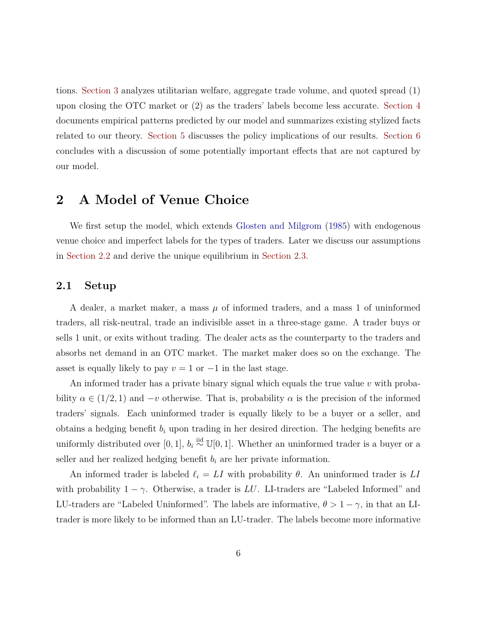tions. [Section 3](#page-12-0) analyzes utilitarian welfare, aggregate trade volume, and quoted spread (1) upon closing the OTC market or (2) as the traders' labels become less accurate. [Section 4](#page-22-1) documents empirical patterns predicted by our model and summarizes existing stylized facts related to our theory. [Section 5](#page-29-0) discusses the policy implications of our results. [Section 6](#page-33-0) concludes with a discussion of some potentially important effects that are not captured by our model.

## <span id="page-6-0"></span>**2 A Model of Venue Choice**

We first setup the model, which extends [Glosten and Milgrom](#page-48-3) [\(1985\)](#page-48-3) with endogenous venue choice and imperfect labels for the types of traders. Later we discuss our assumptions in [Section 2.2](#page-8-0) and derive the unique equilibrium in [Section 2.3.](#page-9-0)

#### **2.1 Setup**

A dealer, a market maker, a mass *µ* of informed traders, and a mass 1 of uninformed traders, all risk-neutral, trade an indivisible asset in a three-stage game. A trader buys or sells 1 unit, or exits without trading. The dealer acts as the counterparty to the traders and absorbs net demand in an OTC market. The market maker does so on the exchange. The asset is equally likely to pay  $v = 1$  or  $-1$  in the last stage.

An informed trader has a private binary signal which equals the true value *v* with probability  $\alpha \in (1/2, 1)$  and  $-v$  otherwise. That is, probability  $\alpha$  is the precision of the informed traders' signals. Each uninformed trader is equally likely to be a buyer or a seller, and obtains a hedging benefit *b<sup>i</sup>* upon trading in her desired direction. The hedging benefits are uniformly distributed over [0, 1],  $b_i \stackrel{\text{iid}}{\sim} \mathbb{U}[0,1]$ . Whether an uninformed trader is a buyer or a seller and her realized hedging benefit  $b_i$  are her private information.

An informed trader is labeled  $\ell_i = LI$  with probability  $\theta$ . An uninformed trader is  $LI$ with probability  $1 - \gamma$ . Otherwise, a trader is *LU*. LI-traders are "Labeled Informed" and LU-traders are "Labeled Uninformed". The labels are informative,  $\theta > 1 - \gamma$ , in that an LItrader is more likely to be informed than an LU-trader. The labels become more informative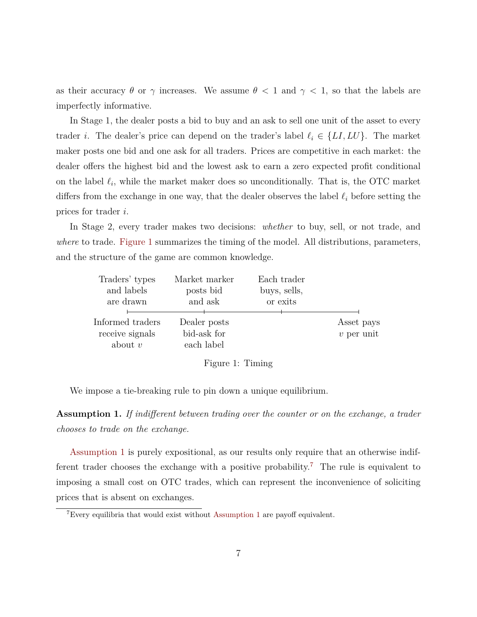as their accuracy  $\theta$  or  $\gamma$  increases. We assume  $\theta$  < 1 and  $\gamma$  < 1, so that the labels are imperfectly informative.

In Stage 1, the dealer posts a bid to buy and an ask to sell one unit of the asset to every trader *i*. The dealer's price can depend on the trader's label  $\ell_i \in \{LI, LU\}$ . The market maker posts one bid and one ask for all traders. Prices are competitive in each market: the dealer offers the highest bid and the lowest ask to earn a zero expected profit conditional on the label  $\ell_i$ , while the market maker does so unconditionally. That is, the OTC market differs from the exchange in one way, that the dealer observes the label  $\ell_i$  before setting the prices for trader *i*.

In Stage 2, every trader makes two decisions: *whether* to buy, sell, or not trade, and *where* to trade. [Figure 1](#page-7-0) summarizes the timing of the model. All distributions, parameters, and the structure of the game are common knowledge.

<span id="page-7-0"></span>

| Traders' types   | Market marker | Each trader  |              |
|------------------|---------------|--------------|--------------|
| and labels       | posts bid     | buys, sells, |              |
| are drawn        | and ask       | or exits     |              |
|                  |               |              |              |
| Informed traders | Dealer posts  |              | Asset pays   |
| receive signals  | bid-ask for   |              | $v$ per unit |
| about $v$        | each label    |              |              |



We impose a tie-breaking rule to pin down a unique equilibrium.

<span id="page-7-1"></span>**Assumption 1.** *If indifferent between trading over the counter or on the exchange, a trader chooses to trade on the exchange.*

[Assumption 1](#page-7-1) is purely expositional, as our results only require that an otherwise indif-ferent trader chooses the exchange with a positive probability.<sup>[7](#page-7-2)</sup> The rule is equivalent to imposing a small cost on OTC trades, which can represent the inconvenience of soliciting prices that is absent on exchanges.

<span id="page-7-2"></span><sup>7</sup>Every equilibria that would exist without [Assumption 1](#page-7-1) are payoff equivalent.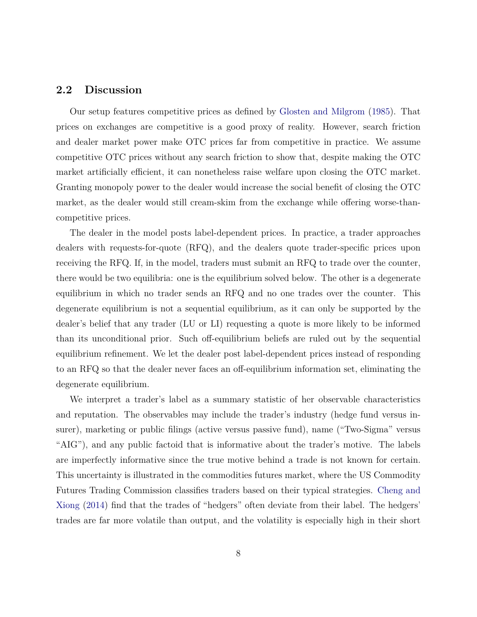#### <span id="page-8-0"></span>**2.2 Discussion**

Our setup features competitive prices as defined by [Glosten and Milgrom](#page-48-3) [\(1985\)](#page-48-3). That prices on exchanges are competitive is a good proxy of reality. However, search friction and dealer market power make OTC prices far from competitive in practice. We assume competitive OTC prices without any search friction to show that, despite making the OTC market artificially efficient, it can nonetheless raise welfare upon closing the OTC market. Granting monopoly power to the dealer would increase the social benefit of closing the OTC market, as the dealer would still cream-skim from the exchange while offering worse-thancompetitive prices.

The dealer in the model posts label-dependent prices. In practice, a trader approaches dealers with requests-for-quote (RFQ), and the dealers quote trader-specific prices upon receiving the RFQ. If, in the model, traders must submit an RFQ to trade over the counter, there would be two equilibria: one is the equilibrium solved below. The other is a degenerate equilibrium in which no trader sends an RFQ and no one trades over the counter. This degenerate equilibrium is not a sequential equilibrium, as it can only be supported by the dealer's belief that any trader (LU or LI) requesting a quote is more likely to be informed than its unconditional prior. Such off-equilibrium beliefs are ruled out by the sequential equilibrium refinement. We let the dealer post label-dependent prices instead of responding to an RFQ so that the dealer never faces an off-equilibrium information set, eliminating the degenerate equilibrium.

We interpret a trader's label as a summary statistic of her observable characteristics and reputation. The observables may include the trader's industry (hedge fund versus insurer), marketing or public filings (active versus passive fund), name ("Two-Sigma" versus "AIG"), and any public factoid that is informative about the trader's motive. The labels are imperfectly informative since the true motive behind a trade is not known for certain. This uncertainty is illustrated in the commodities futures market, where the US Commodity Futures Trading Commission classifies traders based on their typical strategies. [Cheng and](#page-47-3) [Xiong](#page-47-3) [\(2014\)](#page-47-3) find that the trades of "hedgers" often deviate from their label. The hedgers' trades are far more volatile than output, and the volatility is especially high in their short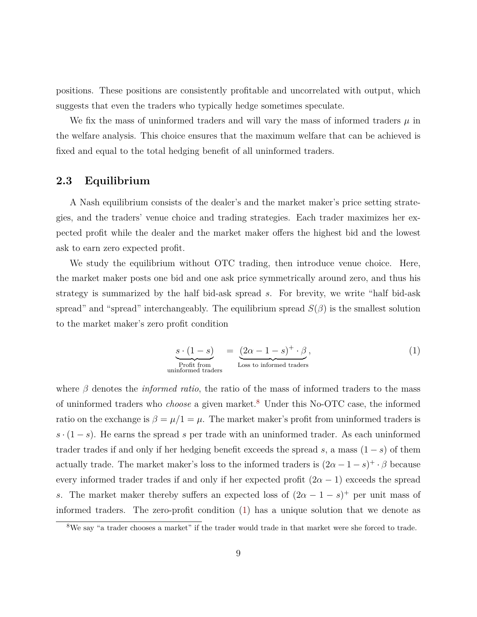positions. These positions are consistently profitable and uncorrelated with output, which suggests that even the traders who typically hedge sometimes speculate.

We fix the mass of uninformed traders and will vary the mass of informed traders  $\mu$  in the welfare analysis. This choice ensures that the maximum welfare that can be achieved is fixed and equal to the total hedging benefit of all uninformed traders.

#### <span id="page-9-0"></span>**2.3 Equilibrium**

A Nash equilibrium consists of the dealer's and the market maker's price setting strategies, and the traders' venue choice and trading strategies. Each trader maximizes her expected profit while the dealer and the market maker offers the highest bid and the lowest ask to earn zero expected profit.

We study the equilibrium without OTC trading, then introduce venue choice. Here, the market maker posts one bid and one ask price symmetrically around zero, and thus his strategy is summarized by the half bid-ask spread *s*. For brevity, we write "half bid-ask spread" and "spread" interchangeably. The equilibrium spread  $S(\beta)$  is the smallest solution to the market maker's zero profit condition

<span id="page-9-2"></span>
$$
\underbrace{s \cdot (1 - s)}_{\text{Profit from}} = \underbrace{(2\alpha - 1 - s)^+ \cdot \beta}_{\text{Loss to informed trades}},
$$
\n(1)

where *β* denotes the *informed ratio*, the ratio of the mass of informed traders to the mass of uninformed traders who *choose* a given market.[8](#page-9-1) Under this No-OTC case, the informed ratio on the exchange is  $\beta = \mu/1 = \mu$ . The market maker's profit from uninformed traders is *s* · (1 − *s*). He earns the spread *s* per trade with an uninformed trader. As each uninformed trader trades if and only if her hedging benefit exceeds the spread  $s$ , a mass  $(1-s)$  of them actually trade. The market maker's loss to the informed traders is  $(2\alpha - 1 - s)^+ \cdot \beta$  because every informed trader trades if and only if her expected profit  $(2\alpha - 1)$  exceeds the spread *s*. The market maker thereby suffers an expected loss of  $(2\alpha - 1 - s)^{+}$  per unit mass of informed traders. The zero-profit condition [\(1\)](#page-9-2) has a unique solution that we denote as

<span id="page-9-1"></span><sup>&</sup>lt;sup>8</sup>We say "a trader chooses a market" if the trader would trade in that market were she forced to trade.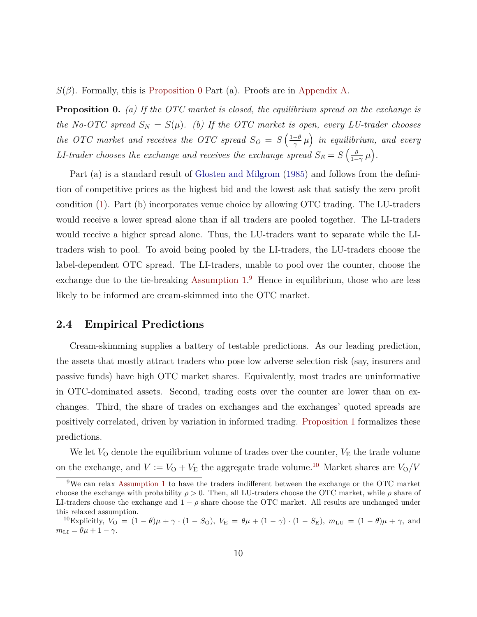<span id="page-10-0"></span> $S(\beta)$ . Formally, this is [Proposition 0](#page-10-0) Part (a). Proofs are in [Appendix A.](#page-36-0)

**Proposition 0.** *(a) If the OTC market is closed, the equilibrium spread on the exchange is the No-OTC spread*  $S_N = S(\mu)$ *. (b) If the OTC market is open, every LU-trader chooses the OTC market and receives the OTC spread*  $S_O = S\left(\frac{1-\theta}{\gamma}\right)$  $\left(\frac{-\theta}{\gamma}\mu\right)$  in equilibrium, and every *LI*-trader chooses the exchange and receives the exchange spread  $S_E = S\left(\frac{\theta E}{1-\theta}\right)$  $\frac{\theta}{1-\gamma}\mu$ .

Part (a) is a standard result of [Glosten and Milgrom](#page-48-3) [\(1985\)](#page-48-3) and follows from the definition of competitive prices as the highest bid and the lowest ask that satisfy the zero profit condition [\(1\)](#page-9-2). Part (b) incorporates venue choice by allowing OTC trading. The LU-traders would receive a lower spread alone than if all traders are pooled together. The LI-traders would receive a higher spread alone. Thus, the LU-traders want to separate while the LItraders wish to pool. To avoid being pooled by the LI-traders, the LU-traders choose the label-dependent OTC spread. The LI-traders, unable to pool over the counter, choose the exchange due to the tie-breaking [Assumption 1.](#page-7-1) [9](#page-10-1) Hence in equilibrium, those who are less likely to be informed are cream-skimmed into the OTC market.

#### **2.4 Empirical Predictions**

Cream-skimming supplies a battery of testable predictions. As our leading prediction, the assets that mostly attract traders who pose low adverse selection risk (say, insurers and passive funds) have high OTC market shares. Equivalently, most trades are uninformative in OTC-dominated assets. Second, trading costs over the counter are lower than on exchanges. Third, the share of trades on exchanges and the exchanges' quoted spreads are positively correlated, driven by variation in informed trading. [Proposition 1](#page-11-0) formalizes these predictions.

We let  $V_{\rm O}$  denote the equilibrium volume of trades over the counter,  $V_{\rm E}$  the trade volume on the exchange, and  $V := V_{\text{O}} + V_{\text{E}}$  the aggregate trade volume.<sup>[10](#page-10-2)</sup> Market shares are  $V_{\text{O}}/V$ 

<span id="page-10-1"></span><sup>&</sup>lt;sup>9</sup>We can relax [Assumption 1](#page-7-1) to have the traders indifferent between the exchange or the OTC market choose the exchange with probability  $\rho > 0$ . Then, all LU-traders choose the OTC market, while  $\rho$  share of LI-traders choose the exchange and  $1 - \rho$  share choose the OTC market. All results are unchanged under this relaxed assumption.

<span id="page-10-2"></span><sup>&</sup>lt;sup>10</sup>Explicitly,  $V_{\rm O} = (1 - \theta)\mu + \gamma \cdot (1 - S_{\rm O})$ ,  $V_{\rm E} = \theta\mu + (1 - \gamma) \cdot (1 - S_{\rm E})$ ,  $m_{\rm LU} = (1 - \theta)\mu + \gamma$ , and  $m_{\text{LI}} = \theta \mu + 1 - \gamma.$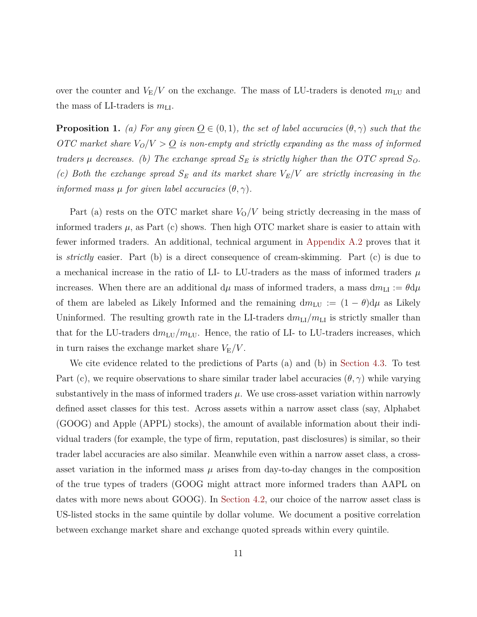over the counter and  $V_{\rm E}/V$  on the exchange. The mass of LU-traders is denoted  $m_{\rm LU}$  and the mass of LI-traders is  $m_{\text{LI}}$ .

<span id="page-11-0"></span>**Proposition 1.** *(a) For any given*  $Q \in (0,1)$ *, the set of label accuracies*  $(\theta, \gamma)$  *such that the OTC* market share  $V_O/V > Q$  is non-empty and strictly expanding as the mass of informed *traders*  $\mu$  *decreases.* (b) The exchange spread  $S_E$  *is strictly higher than the OTC spread*  $S_O$ *. (c) Both the exchange spread S<sup>E</sup> and its market share VE/V are strictly increasing in the informed mass*  $\mu$  *for given label accuracies*  $(\theta, \gamma)$ *.* 

Part (a) rests on the OTC market share  $V_0/V$  being strictly decreasing in the mass of informed traders  $\mu$ , as Part (c) shows. Then high OTC market share is easier to attain with fewer informed traders. An additional, technical argument in [Appendix A.2](#page-38-0) proves that it is *strictly* easier. Part (b) is a direct consequence of cream-skimming. Part (c) is due to a mechanical increase in the ratio of LI- to LU-traders as the mass of informed traders  $\mu$ increases. When there are an additional  $d\mu$  mass of informed traders, a mass  $dm_{\text{LI}} := \theta d\mu$ of them are labeled as Likely Informed and the remaining  $dm_{LU} := (1 - \theta)d\mu$  as Likely Uninformed. The resulting growth rate in the LI-traders  $dm_{\text{LI}}/m_{\text{LI}}$  is strictly smaller than that for the LU-traders  $dm_{\text{LU}}/m_{\text{LU}}$ . Hence, the ratio of LI- to LU-traders increases, which in turn raises the exchange market share  $V_{\rm E}/V$ .

We cite evidence related to the predictions of Parts (a) and (b) in [Section 4.3.](#page-25-0) To test Part (c), we require observations to share similar trader label accuracies  $(\theta, \gamma)$  while varying substantively in the mass of informed traders  $\mu$ . We use cross-asset variation within narrowly defined asset classes for this test. Across assets within a narrow asset class (say, Alphabet (GOOG) and Apple (APPL) stocks), the amount of available information about their individual traders (for example, the type of firm, reputation, past disclosures) is similar, so their trader label accuracies are also similar. Meanwhile even within a narrow asset class, a crossasset variation in the informed mass  $\mu$  arises from day-to-day changes in the composition of the true types of traders (GOOG might attract more informed traders than AAPL on dates with more news about GOOG). In [Section 4.2,](#page-23-0) our choice of the narrow asset class is US-listed stocks in the same quintile by dollar volume. We document a positive correlation between exchange market share and exchange quoted spreads within every quintile.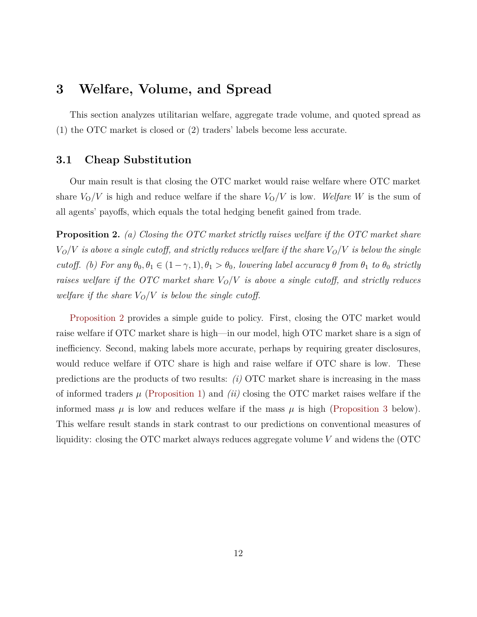## <span id="page-12-0"></span>**3 Welfare, Volume, and Spread**

This section analyzes utilitarian welfare, aggregate trade volume, and quoted spread as (1) the OTC market is closed or (2) traders' labels become less accurate.

#### **3.1 Cheap Substitution**

Our main result is that closing the OTC market would raise welfare where OTC market share  $V<sub>O</sub>/V$  is high and reduce welfare if the share  $V<sub>O</sub>/V$  is low. *Welfare W* is the sum of all agents' payoffs, which equals the total hedging benefit gained from trade.

<span id="page-12-1"></span>**Proposition 2.** *(a) Closing the OTC market strictly raises welfare if the OTC market share*  $V_O/V$  *is above a single cutoff, and strictly reduces welfare if the share*  $V_O/V$  *is below the single cutoff.* (b) For any  $\theta_0, \theta_1 \in (1 - \gamma, 1), \theta_1 > \theta_0$ , lowering label accuracy  $\theta$  *from*  $\theta_1$  *to*  $\theta_0$  *strictly raises welfare if the OTC market share VO/V is above a single cutoff, and strictly reduces welfare if the share*  $V_O/V$  *is below the single cutoff.* 

[Proposition 2](#page-12-1) provides a simple guide to policy. First, closing the OTC market would raise welfare if OTC market share is high—in our model, high OTC market share is a sign of inefficiency. Second, making labels more accurate, perhaps by requiring greater disclosures, would reduce welfare if OTC share is high and raise welfare if OTC share is low. These predictions are the products of two results: *(i)* OTC market share is increasing in the mass of informed traders  $\mu$  [\(Proposition 1\)](#page-11-0) and *(ii)* closing the OTC market raises welfare if the informed mass  $\mu$  is low and reduces welfare if the mass  $\mu$  is high [\(Proposition 3](#page-13-0) below). This welfare result stands in stark contrast to our predictions on conventional measures of liquidity: closing the OTC market always reduces aggregate volume *V* and widens the (OTC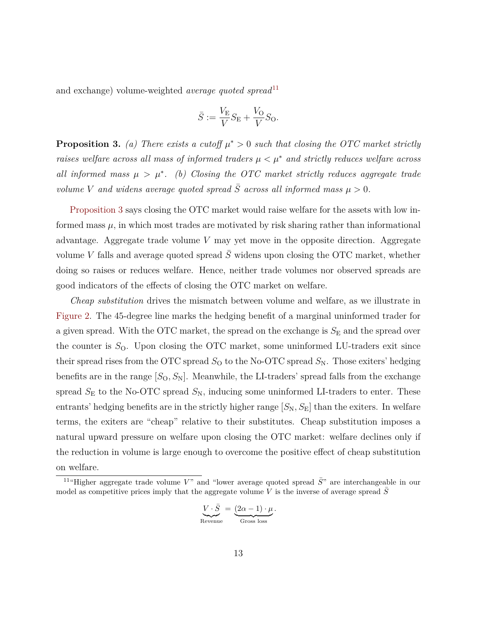and exchange) volume-weighted *average quoted spread*<sup>[11](#page-13-1)</sup>

$$
\bar{S} := \frac{V_{\rm E}}{V} S_{\rm E} + \frac{V_{\rm O}}{V} S_{\rm O}.
$$

<span id="page-13-0"></span>**Proposition 3.** *(a) There exists a cutoff*  $\mu^* > 0$  *such that closing the OTC market strictly raises welfare across all mass of informed traders µ < µ*<sup>∗</sup> *and strictly reduces welfare across all informed mass*  $\mu > \mu^*$ . (b) Closing the OTC market strictly reduces aggregate trade *volume V* and widens average quoted spread  $\overline{S}$  across all informed mass  $\mu > 0$ .

[Proposition 3](#page-13-0) says closing the OTC market would raise welfare for the assets with low informed mass  $\mu$ , in which most trades are motivated by risk sharing rather than informational advantage. Aggregate trade volume *V* may yet move in the opposite direction. Aggregate volume *V* falls and average quoted spread  $\overline{S}$  widens upon closing the OTC market, whether doing so raises or reduces welfare. Hence, neither trade volumes nor observed spreads are good indicators of the effects of closing the OTC market on welfare.

*Cheap substitution* drives the mismatch between volume and welfare, as we illustrate in [Figure 2.](#page-14-0) The 45-degree line marks the hedging benefit of a marginal uninformed trader for a given spread. With the OTC market, the spread on the exchange is  $S<sub>E</sub>$  and the spread over the counter is  $S<sub>O</sub>$ . Upon closing the OTC market, some uninformed LU-traders exit since their spread rises from the OTC spread  $S<sub>O</sub>$  to the No-OTC spread  $S<sub>N</sub>$ . Those exiters' hedging benefits are in the range  $[S_0, S_N]$ . Meanwhile, the LI-traders' spread falls from the exchange spread  $S<sub>E</sub>$  to the No-OTC spread  $S<sub>N</sub>$ , inducing some uninformed LI-traders to enter. These entrants' hedging benefits are in the strictly higher range  $[S_N, S_E]$  than the exiters. In welfare terms, the exiters are "cheap" relative to their substitutes. Cheap substitution imposes a natural upward pressure on welfare upon closing the OTC market: welfare declines only if the reduction in volume is large enough to overcome the positive effect of cheap substitution on welfare.

$$
\underbrace{V\cdot \bar{S}}_{\text{Revenue}}\, =\, \underbrace{(2\alpha-1)\cdot \mu}_{\text{Gross loss}}.
$$

<span id="page-13-1"></span><sup>&</sup>lt;sup>11</sup>"Higher aggregate trade volume  $V$ " and "lower average quoted spread  $\bar{S}$ " are interchangeable in our model as competitive prices imply that the aggregate volume V is the inverse of average spread *S*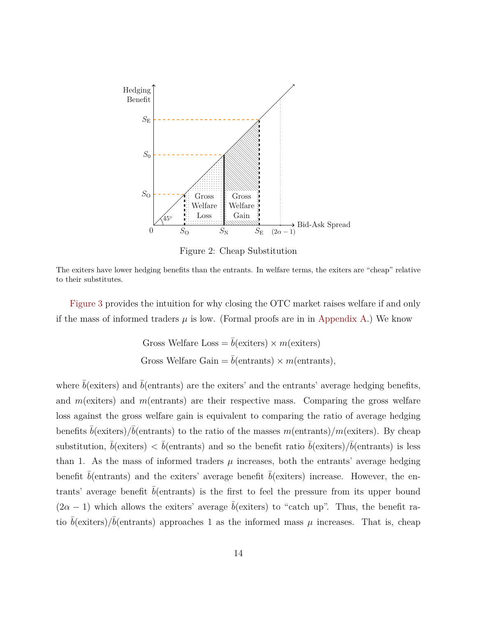<span id="page-14-0"></span>

Figure 2: Cheap Substitution

The exiters have lower hedging benefits than the entrants. In welfare terms, the exiters are "cheap" relative to their substitutes.

[Figure 3](#page-16-0) provides the intuition for why closing the OTC market raises welfare if and only if the mass of informed traders  $\mu$  is low. (Formal proofs are in in [Appendix A.](#page-36-0)) We know

Gross Welfare Loss = 
$$
\bar{b}
$$
(exists) × m(exiters)  
Gross Welfare Gain =  $\bar{b}$ (entrants) × m(entrants),

where  $\bar{b}$ (exiters) and  $\bar{b}$ (entrants) are the exiters' and the entrants' average hedging benefits, and *m*(exiters) and *m*(entrants) are their respective mass. Comparing the gross welfare loss against the gross welfare gain is equivalent to comparing the ratio of average hedging benefits  $\bar{b}$ (exiters)/ $\bar{b}$ (entrants) to the ratio of the masses *m*(entrants)/*m*(exiters). By cheap substitution,  $\bar{b}$ (exiters)  $\langle \bar{b} \rangle$  =  $\bar{b}$ (entrants) and so the benefit ratio  $\bar{b}$ (exiters)/ $\bar{b}$ (entrants) is less than 1. As the mass of informed traders  $\mu$  increases, both the entrants' average hedging benefit  $\bar{b}$ (entrants) and the exiters' average benefit  $\bar{b}$ (exiters) increase. However, the entrants' average benefit  $b$ (entrants) is the first to feel the pressure from its upper bound  $(2\alpha - 1)$  which allows the exiters' average  $\bar{b}$ (exiters) to "catch up". Thus, the benefit ratio  $\bar{b}$ (exiters)/ $\bar{b}$ (entrants) approaches 1 as the informed mass  $\mu$  increases. That is, cheap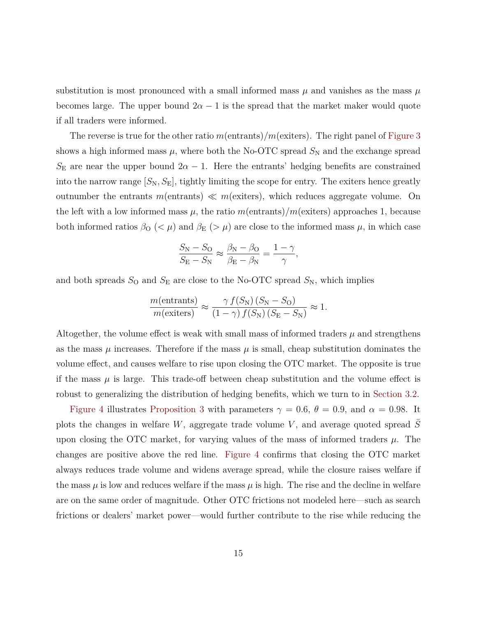substitution is most pronounced with a small informed mass  $\mu$  and vanishes as the mass  $\mu$ becomes large. The upper bound  $2\alpha - 1$  is the spread that the market maker would quote if all traders were informed.

The reverse is true for the other ratio *m*(entrants)*/m*(exiters). The right panel of [Figure 3](#page-16-0) shows a high informed mass  $\mu$ , where both the No-OTC spread  $S_N$  and the exchange spread  $S_{\rm E}$  are near the upper bound  $2\alpha - 1$ . Here the entrants' hedging benefits are constrained into the narrow range  $[S_N, S_E]$ , tightly limiting the scope for entry. The exiters hence greatly outnumber the entrants  $m$ (entrants)  $\ll m$  (exiters), which reduces aggregate volume. On the left with a low informed mass  $\mu$ , the ratio  $m(\text{entrants})/m(\text{exists})$  approaches 1, because both informed ratios  $\beta_{\text{O}}$  ( $\lt \mu$ ) and  $\beta_{\text{E}}$  ( $>\mu$ ) are close to the informed mass  $\mu$ , in which case

$$
\frac{S_{\rm N} - S_{\rm O}}{S_{\rm E} - S_{\rm N}} \approx \frac{\beta_{\rm N} - \beta_{\rm O}}{\beta_{\rm E} - \beta_{\rm N}} = \frac{1 - \gamma}{\gamma},
$$

and both spreads  $S_{\text{O}}$  and  $S_{\text{E}}$  are close to the No-OTC spread  $S_{\text{N}}$ , which implies

$$
\frac{m(\text{entrants})}{m(\text{exters})} \approx \frac{\gamma f(S_{\text{N}}) (S_{\text{N}} - S_{\text{O}})}{(1 - \gamma) f(S_{\text{N}}) (S_{\text{E}} - S_{\text{N}})} \approx 1.
$$

Altogether, the volume effect is weak with small mass of informed traders  $\mu$  and strengthens as the mass  $\mu$  increases. Therefore if the mass  $\mu$  is small, cheap substitution dominates the volume effect, and causes welfare to rise upon closing the OTC market. The opposite is true if the mass  $\mu$  is large. This trade-off between cheap substitution and the volume effect is robust to generalizing the distribution of hedging benefits, which we turn to in [Section 3.2.](#page-17-0)

[Figure 4](#page-16-1) illustrates [Proposition 3](#page-13-0) with parameters  $\gamma = 0.6$ ,  $\theta = 0.9$ , and  $\alpha = 0.98$ . It plots the changes in welfare *W*, aggregate trade volume *V* , and average quoted spread *S*¯ upon closing the OTC market, for varying values of the mass of informed traders *µ*. The changes are positive above the red line. [Figure 4](#page-16-1) confirms that closing the OTC market always reduces trade volume and widens average spread, while the closure raises welfare if the mass  $\mu$  is low and reduces welfare if the mass  $\mu$  is high. The rise and the decline in welfare are on the same order of magnitude. Other OTC frictions not modeled here—such as search frictions or dealers' market power—would further contribute to the rise while reducing the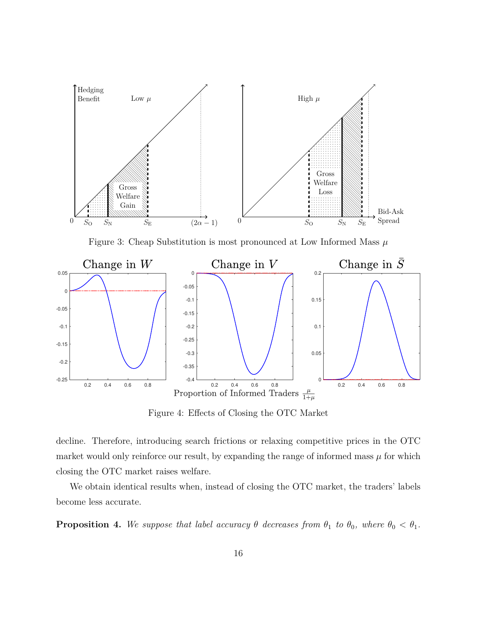<span id="page-16-0"></span>

Figure 3: Cheap Substitution is most pronounced at Low Informed Mass *µ*

<span id="page-16-1"></span>

Figure 4: Effects of Closing the OTC Market

decline. Therefore, introducing search frictions or relaxing competitive prices in the OTC market would only reinforce our result, by expanding the range of informed mass  $\mu$  for which closing the OTC market raises welfare.

We obtain identical results when, instead of closing the OTC market, the traders' labels become less accurate.

<span id="page-16-2"></span>**Proposition 4.** We suppose that label accuracy  $\theta$  decreases from  $\theta_1$  to  $\theta_0$ , where  $\theta_0 < \theta_1$ .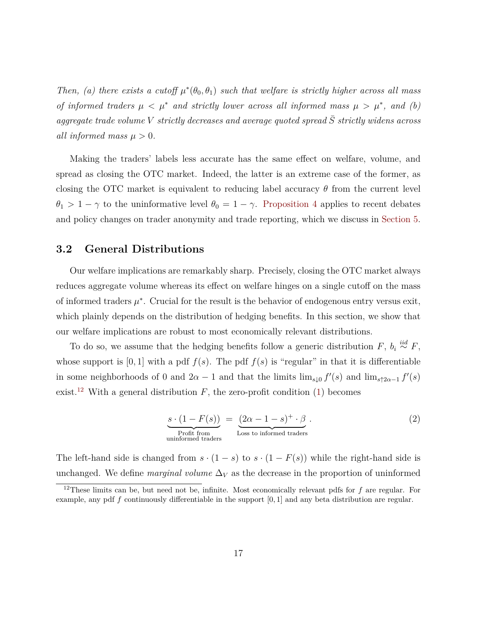*Then, (a) there exists a cutoff*  $\mu^*(\theta_0, \theta_1)$  *such that welfare is strictly higher across all mass of informed traders*  $\mu < \mu^*$  *and strictly lower across all informed mass*  $\mu > \mu^*$ , *and* (*b*) *aggregate trade volume*  $V$  *strictly decreases and average quoted spread*  $\overline{S}$  *strictly widens across all informed mass*  $\mu > 0$ *.* 

Making the traders' labels less accurate has the same effect on welfare, volume, and spread as closing the OTC market. Indeed, the latter is an extreme case of the former, as closing the OTC market is equivalent to reducing label accuracy  $\theta$  from the current level  $\theta_1 > 1 - \gamma$  to the uninformative level  $\theta_0 = 1 - \gamma$ . [Proposition 4](#page-16-2) applies to recent debates and policy changes on trader anonymity and trade reporting, which we discuss in [Section 5.](#page-29-0)

#### <span id="page-17-0"></span>**3.2 General Distributions**

Our welfare implications are remarkably sharp. Precisely, closing the OTC market always reduces aggregate volume whereas its effect on welfare hinges on a single cutoff on the mass of informed traders  $\mu^*$ . Crucial for the result is the behavior of endogenous entry versus exit, which plainly depends on the distribution of hedging benefits. In this section, we show that our welfare implications are robust to most economically relevant distributions.

To do so, we assume that the hedging benefits follow a generic distribution  $F$ ,  $b_i \stackrel{iid}{\sim} F$ , whose support is  $[0, 1]$  with a pdf  $f(s)$ . The pdf  $f(s)$  is "regular" in that it is differentiable in some neighborhoods of 0 and  $2\alpha - 1$  and that the limits  $\lim_{s\downarrow 0} f'(s)$  and  $\lim_{s\uparrow 2\alpha - 1} f'(s)$ exist.<sup>[12](#page-17-1)</sup> With a general distribution  $F$ , the zero-profit condition [\(1\)](#page-9-2) becomes

<span id="page-17-2"></span>
$$
\underbrace{s \cdot (1 - F(s))}_{\text{Profit from} \atop \text{uninformed trades}} = \underbrace{(2\alpha - 1 - s)^+ \cdot \beta}_{\text{Loss to informed trades}}.
$$
\n(2)

The left-hand side is changed from  $s \cdot (1 - s)$  to  $s \cdot (1 - F(s))$  while the right-hand side is unchanged. We define *marginal volume*  $\Delta_V$  as the decrease in the proportion of uninformed

<span id="page-17-1"></span><sup>12</sup>These limits can be, but need not be, infinite. Most economically relevant pdfs for *f* are regular. For example, any pdf *f* continuously differentiable in the support [0*,* 1] and any beta distribution are regular.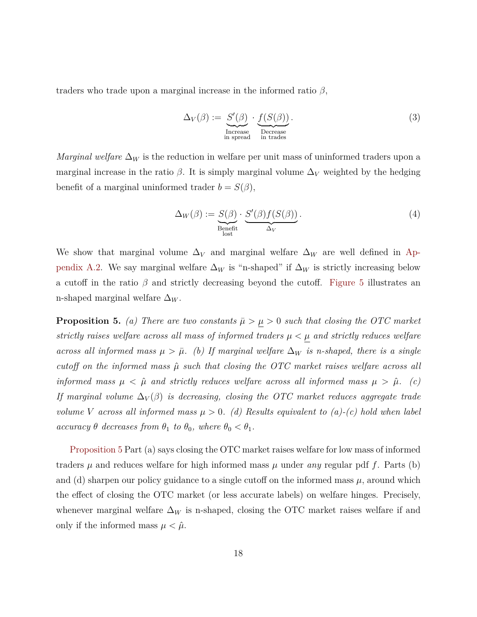traders who trade upon a marginal increase in the informed ratio *β*,

<span id="page-18-1"></span>
$$
\Delta_V(\beta) := \frac{S'(\beta)}{\text{Increase}} \cdot \underbrace{f(S(\beta))}_{\text{Decrease}}.
$$
\n(3)

*Marginal welfare*  $\Delta_W$  is the reduction in welfare per unit mass of uninformed traders upon a marginal increase in the ratio  $\beta$ . It is simply marginal volume  $\Delta_V$  weighted by the hedging benefit of a marginal uninformed trader  $b = S(\beta)$ ,

<span id="page-18-2"></span>
$$
\Delta_W(\beta) := \underbrace{S(\beta)}_{\text{Benefit}} \cdot \underbrace{S'(\beta) f(S(\beta))}_{\Delta_V}.
$$
\n(4)

We show that marginal volume  $\Delta_V$  and marginal welfare  $\Delta_W$  are well defined in [Ap](#page-38-0)[pendix A.2.](#page-38-0) We say marginal welfare  $\Delta_W$  is "n-shaped" if  $\Delta_W$  is strictly increasing below a cutoff in the ratio  $\beta$  and strictly decreasing beyond the cutoff. [Figure 5](#page-19-0) illustrates an n-shaped marginal welfare  $\Delta_W$ .

<span id="page-18-0"></span>**Proposition 5.** *(a) There are two constants*  $\bar{\mu} > \mu > 0$  *such that closing the OTC market strictly raises welfare across all mass of informed traders*  $\mu < \mu$  *and strictly reduces welfare across all informed mass*  $\mu > \bar{\mu}$ . (b) If marginal welfare  $\Delta_W$  is n-shaped, there is a single *cutoff on the informed mass*  $\hat{\mu}$  *such that closing the OTC market raises welfare across all informed mass*  $\mu < \hat{\mu}$  *and strictly reduces welfare across all informed mass*  $\mu > \hat{\mu}$ . (c) *If marginal volume*  $\Delta_V(\beta)$  *is decreasing, closing the OTC market reduces aggregate trade volume V* across all informed mass  $\mu > 0$ . (d) Results equivalent to (a)-(c) hold when label *accuracy*  $\theta$  *decreases from*  $\theta_1$  *to*  $\theta_0$ *, where*  $\theta_0 < \theta_1$ *.* 

[Proposition 5](#page-18-0) Part (a) says closing the OTC market raises welfare for low mass of informed traders  $\mu$  and reduces welfare for high informed mass  $\mu$  under *any* regular pdf f. Parts (b) and (d) sharpen our policy guidance to a single cutoff on the informed mass  $\mu$ , around which the effect of closing the OTC market (or less accurate labels) on welfare hinges. Precisely, whenever marginal welfare  $\Delta_W$  is n-shaped, closing the OTC market raises welfare if and only if the informed mass  $\mu < \hat{\mu}$ .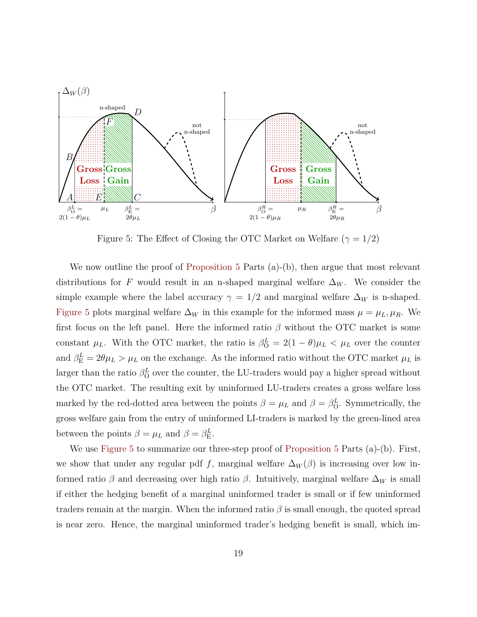<span id="page-19-0"></span>

Figure 5: The Effect of Closing the OTC Market on Welfare  $(\gamma = 1/2)$ 

We now outline the proof of [Proposition 5](#page-18-0) Parts (a)-(b), then argue that most relevant distributions for *F* would result in an n-shaped marginal welfare  $\Delta_W$ . We consider the simple example where the label accuracy  $\gamma = 1/2$  and marginal welfare  $\Delta_W$  is n-shaped. [Figure 5](#page-19-0) plots marginal welfare  $\Delta_W$  in this example for the informed mass  $\mu = \mu_L, \mu_R$ . We first focus on the left panel. Here the informed ratio *β* without the OTC market is some constant  $\mu_L$ . With the OTC market, the ratio is  $\beta_0^L = 2(1 - \theta)\mu_L < \mu_L$  over the counter and  $\beta_{\rm E}^L = 2\theta\mu_L > \mu_L$  on the exchange. As the informed ratio without the OTC market  $\mu_L$  is larger than the ratio  $\beta_{\rm O}^L$  over the counter, the LU-traders would pay a higher spread without the OTC market. The resulting exit by uninformed LU-traders creates a gross welfare loss marked by the red-dotted area between the points  $\beta = \mu_L$  and  $\beta = \beta_0^L$ . Symmetrically, the gross welfare gain from the entry of uninformed LI-traders is marked by the green-lined area between the points  $\beta = \mu_L$  and  $\beta = \beta_{\rm E}^L$ .

We use [Figure 5](#page-19-0) to summarize our three-step proof of [Proposition 5](#page-18-0) Parts (a)-(b). First, we show that under any regular pdf *f*, marginal welfare  $\Delta_W(\beta)$  is increasing over low informed ratio  $\beta$  and decreasing over high ratio  $\beta$ . Intuitively, marginal welfare  $\Delta_W$  is small if either the hedging benefit of a marginal uninformed trader is small or if few uninformed traders remain at the margin. When the informed ratio *β* is small enough, the quoted spread is near zero. Hence, the marginal uninformed trader's hedging benefit is small, which im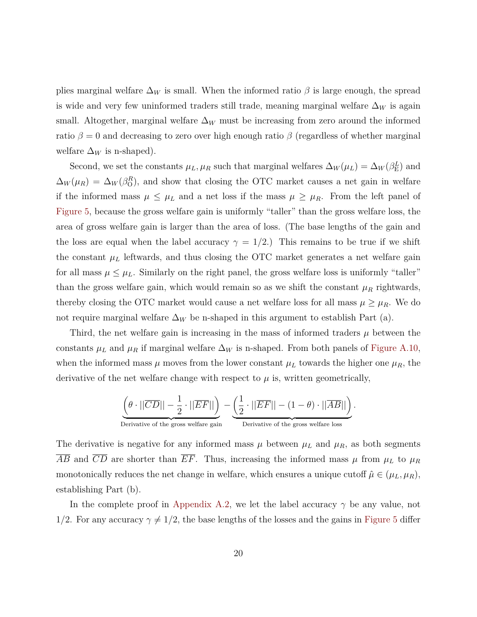plies marginal welfare  $\Delta_W$  is small. When the informed ratio  $\beta$  is large enough, the spread is wide and very few uninformed traders still trade, meaning marginal welfare ∆*<sup>W</sup>* is again small. Altogether, marginal welfare  $\Delta_W$  must be increasing from zero around the informed ratio  $\beta = 0$  and decreasing to zero over high enough ratio  $\beta$  (regardless of whether marginal welfare  $\Delta_W$  is n-shaped).

Second, we set the constants  $\mu_L, \mu_R$  such that marginal welfares  $\Delta_W(\mu_L) = \Delta_W(\beta_{\rm E}^L)$  and  $\Delta_W(\mu_R) = \Delta_W(\beta_0^R)$ , and show that closing the OTC market causes a net gain in welfare if the informed mass  $\mu \leq \mu_L$  and a net loss if the mass  $\mu \geq \mu_R$ . From the left panel of [Figure 5,](#page-19-0) because the gross welfare gain is uniformly "taller" than the gross welfare loss, the area of gross welfare gain is larger than the area of loss. (The base lengths of the gain and the loss are equal when the label accuracy  $\gamma = 1/2$ .) This remains to be true if we shift the constant  $\mu_L$  leftwards, and thus closing the OTC market generates a net welfare gain for all mass  $\mu \leq \mu_L$ . Similarly on the right panel, the gross welfare loss is uniformly "taller" than the gross welfare gain, which would remain so as we shift the constant  $\mu_R$  rightwards, thereby closing the OTC market would cause a net welfare loss for all mass  $\mu \geq \mu_R$ . We do not require marginal welfare  $\Delta_W$  be n-shaped in this argument to establish Part (a).

Third, the net welfare gain is increasing in the mass of informed traders *µ* between the constants  $\mu_L$  and  $\mu_R$  if marginal welfare  $\Delta_W$  is n-shaped. From both panels of [Figure A.10,](#page-42-0) when the informed mass  $\mu$  moves from the lower constant  $\mu_L$  towards the higher one  $\mu_R$ , the derivative of the net welfare change with respect to  $\mu$  is, written geometrically,

$$
\underbrace{\left(\theta\cdot||\overline{CD}||-\frac{1}{2}\cdot||\overline{EF}||\right)}_{\text{Derivative of the gross welfare gain}}-\underbrace{\left(\frac{1}{2}\cdot||\overline{EF}||-(1-\theta)\cdot||\overline{AB}||\right)}_{\text{Derivative of the gross welfare loss}}.
$$

The derivative is negative for any informed mass  $\mu$  between  $\mu$ <sub>*L*</sub> and  $\mu$ <sub>*R*</sub>, as both segments  $\overline{AB}$  and  $\overline{CD}$  are shorter than  $\overline{EF}$ . Thus, increasing the informed mass  $\mu$  from  $\mu$ *L* to  $\mu$ *R* monotonically reduces the net change in welfare, which ensures a unique cutoff  $\hat{\mu} \in (\mu_L, \mu_R)$ , establishing Part (b).

In the complete proof in [Appendix A.2,](#page-38-0) we let the label accuracy *γ* be any value, not 1/2. For any accuracy  $\gamma \neq 1/2$ , the base lengths of the losses and the gains in [Figure 5](#page-19-0) differ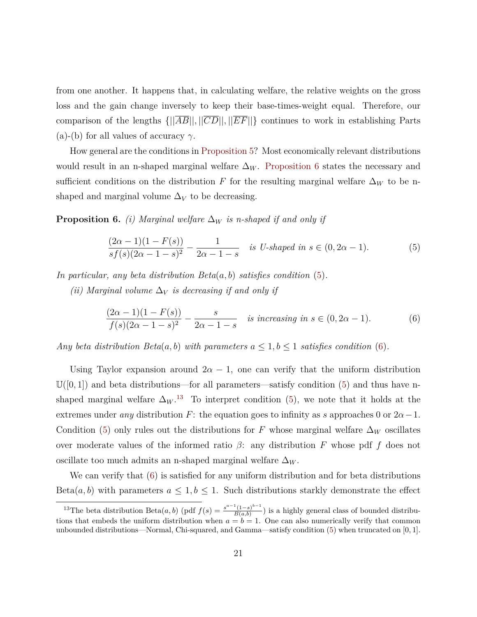from one another. It happens that, in calculating welfare, the relative weights on the gross loss and the gain change inversely to keep their base-times-weight equal. Therefore, our comparison of the lengths  $\{||\overline{AB}||, ||\overline{CD}||, ||\overline{EF}||\}$  continues to work in establishing Parts (a)-(b) for all values of accuracy  $\gamma$ .

How general are the conditions in [Proposition 5?](#page-18-0) Most economically relevant distributions would result in an n-shaped marginal welfare  $\Delta_W$ . [Proposition 6](#page-21-0) states the necessary and sufficient conditions on the distribution *F* for the resulting marginal welfare  $\Delta_W$  to be nshaped and marginal volume  $\Delta_V$  to be decreasing.

<span id="page-21-0"></span>**Proposition 6.** *(i) Marginal welfare*  $\Delta_W$  *is n-shaped if and only if* 

<span id="page-21-1"></span>
$$
\frac{(2\alpha - 1)(1 - F(s))}{sf(s)(2\alpha - 1 - s)^2} - \frac{1}{2\alpha - 1 - s}
$$
 is *U*-shaped in  $s \in (0, 2\alpha - 1)$ . (5)

*In particular, any beta distribution Beta*(*a, b*) *satisfies condition* [\(5\)](#page-21-1)*.*

*(ii)* Marginal volume  $\Delta_V$  *is decreasing if and only if* 

<span id="page-21-2"></span>
$$
\frac{(2\alpha - 1)(1 - F(s))}{f(s)(2\alpha - 1 - s)^2} - \frac{s}{2\alpha - 1 - s}
$$
 is increasing in  $s \in (0, 2\alpha - 1)$ . (6)

*Any beta distribution Beta*(*a, b*) *with parameters*  $a \leq 1, b \leq 1$  *satisfies condition* [\(6\)](#page-21-2).

Using Taylor expansion around  $2\alpha - 1$ , one can verify that the uniform distribution  $\mathbb{U}([0,1])$  and beta distributions—for all parameters—satisfy condition [\(5\)](#page-21-1) and thus have nshaped marginal welfare  $\Delta_W$ <sup>[13](#page-21-3)</sup> To interpret condition [\(5\)](#page-21-1), we note that it holds at the extremes under *any* distribution *F*: the equation goes to infinity as *s* approaches 0 or  $2\alpha - 1$ . Condition [\(5\)](#page-21-1) only rules out the distributions for *F* whose marginal welfare  $\Delta_W$  oscillates over moderate values of the informed ratio  $\beta$ : any distribution *F* whose pdf *f* does not oscillate too much admits an n-shaped marginal welfare ∆*<sup>W</sup>* .

We can verify that [\(6\)](#page-21-2) is satisfied for any uniform distribution and for beta distributions Beta $(a, b)$  with parameters  $a \leq 1, b \leq 1$ . Such distributions starkly demonstrate the effect

<span id="page-21-3"></span><sup>&</sup>lt;sup>13</sup>The beta distribution Beta $(a, b)$  (pdf  $f(s) = \frac{s^{a-1}(1-s)^{b-1}}{B(a,b)}$  $\frac{1-8}{B(a,b)}$  is a highly general class of bounded distributions that embeds the uniform distribution when  $a = b = 1$ . One can also numerically verify that common unbounded distributions—Normal, Chi-squared, and Gamma—satisfy condition [\(5\)](#page-21-1) when truncated on [0*,* 1].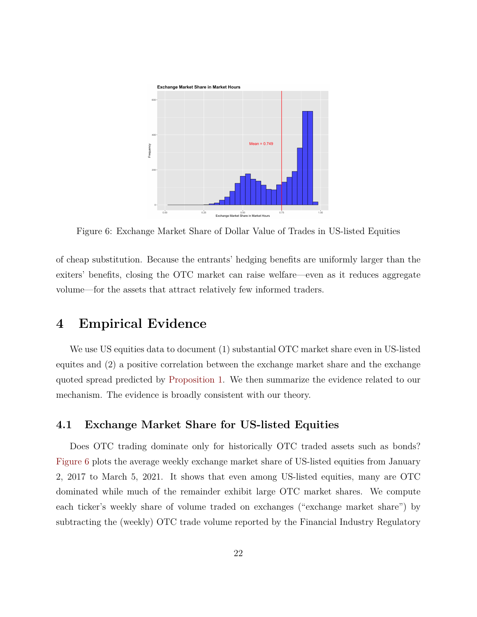<span id="page-22-2"></span>

Figure 6: Exchange Market Share of Dollar Value of Trades in US-listed Equities

of cheap substitution. Because the entrants' hedging benefits are uniformly larger than the exiters' benefits, closing the OTC market can raise welfare—even as it reduces aggregate volume—for the assets that attract relatively few informed traders.

## <span id="page-22-1"></span>**4 Empirical Evidence**

We use US equities data to document (1) substantial OTC market share even in US-listed equites and (2) a positive correlation between the exchange market share and the exchange quoted spread predicted by [Proposition 1.](#page-11-0) We then summarize the evidence related to our mechanism. The evidence is broadly consistent with our theory.

#### <span id="page-22-0"></span>**4.1 Exchange Market Share for US-listed Equities**

Does OTC trading dominate only for historically OTC traded assets such as bonds? [Figure 6](#page-22-2) plots the average weekly exchange market share of US-listed equities from January 2, 2017 to March 5, 2021. It shows that even among US-listed equities, many are OTC dominated while much of the remainder exhibit large OTC market shares. We compute each ticker's weekly share of volume traded on exchanges ("exchange market share") by subtracting the (weekly) OTC trade volume reported by the Financial Industry Regulatory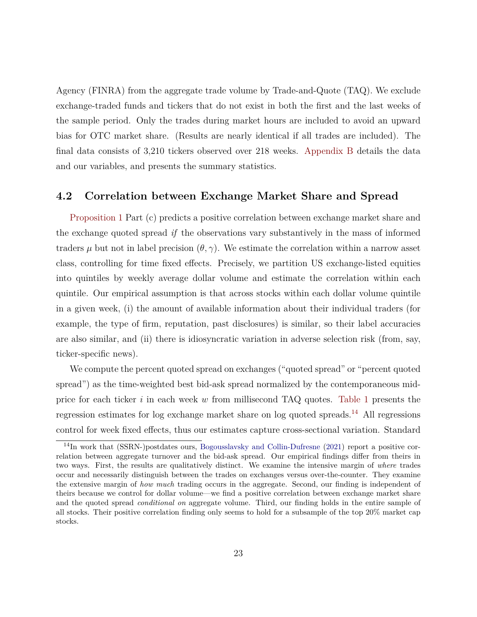Agency (FINRA) from the aggregate trade volume by Trade-and-Quote (TAQ). We exclude exchange-traded funds and tickers that do not exist in both the first and the last weeks of the sample period. Only the trades during market hours are included to avoid an upward bias for OTC market share. (Results are nearly identical if all trades are included). The final data consists of 3,210 tickers observed over 218 weeks. [Appendix B](#page-44-0) details the data and our variables, and presents the summary statistics.

#### <span id="page-23-0"></span>**4.2 Correlation between Exchange Market Share and Spread**

[Proposition 1](#page-11-0) Part (c) predicts a positive correlation between exchange market share and the exchange quoted spread *if* the observations vary substantively in the mass of informed traders  $\mu$  but not in label precision  $(\theta, \gamma)$ . We estimate the correlation within a narrow asset class, controlling for time fixed effects. Precisely, we partition US exchange-listed equities into quintiles by weekly average dollar volume and estimate the correlation within each quintile. Our empirical assumption is that across stocks within each dollar volume quintile in a given week, (i) the amount of available information about their individual traders (for example, the type of firm, reputation, past disclosures) is similar, so their label accuracies are also similar, and (ii) there is idiosyncratic variation in adverse selection risk (from, say, ticker-specific news).

We compute the percent quoted spread on exchanges ("quoted spread" or "percent quoted spread") as the time-weighted best bid-ask spread normalized by the contemporaneous midprice for each ticker *i* in each week *w* from millisecond TAQ quotes. [Table 1](#page-24-0) presents the regression estimates for log exchange market share on log quoted spreads.[14](#page-23-1) All regressions control for week fixed effects, thus our estimates capture cross-sectional variation. Standard

<span id="page-23-1"></span><sup>14</sup>In work that (SSRN-)postdates ours, [Bogousslavsky and Collin-Dufresne](#page-46-3) [\(2021\)](#page-46-3) report a positive correlation between aggregate turnover and the bid-ask spread. Our empirical findings differ from theirs in two ways. First, the results are qualitatively distinct. We examine the intensive margin of *where* trades occur and necessarily distinguish between the trades on exchanges versus over-the-counter. They examine the extensive margin of *how much* trading occurs in the aggregate. Second, our finding is independent of theirs because we control for dollar volume—we find a positive correlation between exchange market share and the quoted spread *conditional on* aggregate volume. Third, our finding holds in the entire sample of all stocks. Their positive correlation finding only seems to hold for a subsample of the top 20% market cap stocks.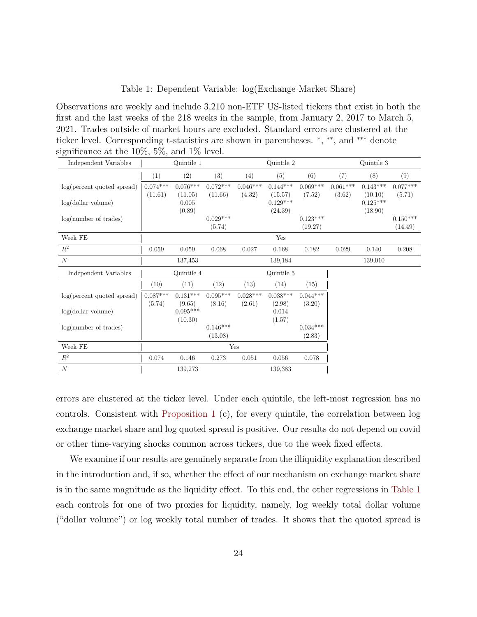#### Table 1: Dependent Variable: log(Exchange Market Share)

<span id="page-24-0"></span>Observations are weekly and include 3,210 non-ETF US-listed tickers that exist in both the first and the last weeks of the 218 weeks in the sample, from January 2, 2017 to March 5, 2021. Trades outside of market hours are excluded. Standard errors are clustered at the ticker level. Corresponding t-statistics are shown in parentheses. \*, \*\*, and \*\*\* denote significance at the 10%, 5%, and 1% level.

| $\overline{\smile}$<br>Independent Variables | Quintile 1 |                      |            |            | Quintile 2            |            | Quintile 3 |                       |            |
|----------------------------------------------|------------|----------------------|------------|------------|-----------------------|------------|------------|-----------------------|------------|
|                                              | (1)        | (2)                  | (3)        | (4)        | (5)                   | (6)        | (7)        | (8)                   | (9)        |
| log(percent quoted spread)                   | $0.074***$ | $0.076***$           | $0.072***$ | $0.046***$ | $0.144***$            | $0.069***$ | $0.061***$ | $0.143***$            | $0.077***$ |
|                                              | (11.61)    | (11.05)              | (11.66)    | (4.32)     | (15.57)               | (7.52)     | (3.62)     | (10.10)               | (5.71)     |
| log(dollar volume)                           |            | 0.005<br>(0.89)      |            |            | $0.129***$<br>(24.39) |            |            | $0.125***$<br>(18.90) |            |
| log(number of trades)                        |            |                      | $0.029***$ |            |                       | $0.123***$ |            |                       | $0.150***$ |
|                                              |            |                      | (5.74)     |            |                       | (19.27)    |            |                       | (14.49)    |
| Week FE                                      |            |                      |            |            | Yes                   |            |            |                       |            |
| $\mathbb{R}^2$                               | 0.059      | 0.059                | 0.068      | 0.027      | 0.168                 | 0.182      | 0.029      | 0.140                 | 0.208      |
| $\boldsymbol{N}$                             |            | 137,453              |            |            | 139,184               |            |            | 139,010               |            |
| Independent Variables                        |            | Quintile 4           |            |            | Quintile 5            |            |            |                       |            |
|                                              | (10)       | (11)                 | (12)       | (13)       | (14)                  | (15)       |            |                       |            |
| $log(p$ percent quoted spread)               | $0.087***$ | $0.131***$           | $0.095***$ | $0.028***$ | $0.038***$            | $0.044***$ |            |                       |            |
| log(dollar volume)                           | (5.74)     | (9.65)<br>$0.095***$ | (8.16)     | (2.61)     | (2.98)<br>0.014       | (3.20)     |            |                       |            |
|                                              |            | (10.30)              |            |            | (1.57)                |            |            |                       |            |
| log(number of trades)                        |            |                      | $0.146***$ |            |                       | $0.034***$ |            |                       |            |
|                                              |            |                      | (13.08)    |            |                       | (2.83)     |            |                       |            |
| Week FE                                      | Yes        |                      |            |            |                       |            |            |                       |            |
| $\mathbb{R}^2$                               |            | 0.146                | 0.273      | 0.051      | 0.056                 | 0.078      |            |                       |            |
|                                              | 0.074      |                      |            |            |                       |            |            |                       |            |

errors are clustered at the ticker level. Under each quintile, the left-most regression has no controls. Consistent with [Proposition 1](#page-11-0) (c), for every quintile, the correlation between log exchange market share and log quoted spread is positive. Our results do not depend on covid or other time-varying shocks common across tickers, due to the week fixed effects.

We examine if our results are genuinely separate from the illiquidity explanation described in the introduction and, if so, whether the effect of our mechanism on exchange market share is in the same magnitude as the liquidity effect. To this end, the other regressions in [Table 1](#page-24-0) each controls for one of two proxies for liquidity, namely, log weekly total dollar volume ("dollar volume") or log weekly total number of trades. It shows that the quoted spread is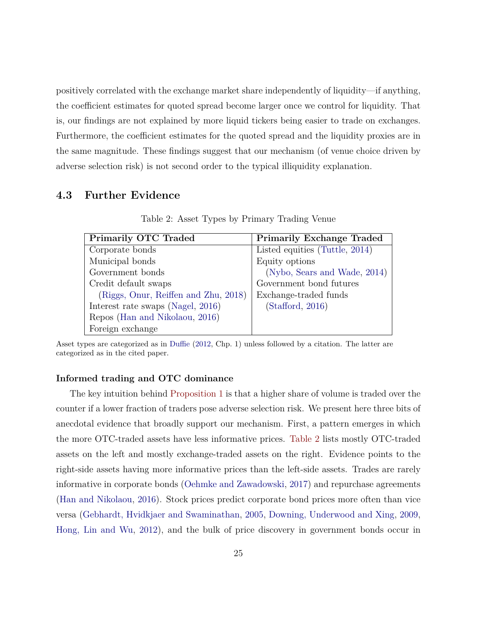positively correlated with the exchange market share independently of liquidity—if anything, the coefficient estimates for quoted spread become larger once we control for liquidity. That is, our findings are not explained by more liquid tickers being easier to trade on exchanges. Furthermore, the coefficient estimates for the quoted spread and the liquidity proxies are in the same magnitude. These findings suggest that our mechanism (of venue choice driven by adverse selection risk) is not second order to the typical illiquidity explanation.

#### <span id="page-25-1"></span><span id="page-25-0"></span>**4.3 Further Evidence**

| <b>Primarily OTC Traded</b>          | <b>Primarily Exchange Traded</b> |
|--------------------------------------|----------------------------------|
| Corporate bonds                      | Listed equities (Tuttle, 2014)   |
| Municipal bonds                      | Equity options                   |
| Government bonds                     | (Nybo, Sears and Wade, 2014)     |
| Credit default swaps                 | Government bond futures          |
| (Riggs, Onur, Reiffen and Zhu, 2018) | Exchange-traded funds            |
| Interest rate swaps (Nagel, 2016)    | (Stafford, 2016)                 |
| Repos (Han and Nikolaou, 2016)       |                                  |
| Foreign exchange                     |                                  |

Table 2: Asset Types by Primary Trading Venue

Asset types are categorized as in [Duffie](#page-47-4) [\(2012,](#page-47-4) Chp. 1) unless followed by a citation. The latter are categorized as in the cited paper.

#### **Informed trading and OTC dominance**

The key intuition behind [Proposition 1](#page-11-0) is that a higher share of volume is traded over the counter if a lower fraction of traders pose adverse selection risk. We present here three bits of anecdotal evidence that broadly support our mechanism. First, a pattern emerges in which the more OTC-traded assets have less informative prices. [Table 2](#page-25-1) lists mostly OTC-traded assets on the left and mostly exchange-traded assets on the right. Evidence points to the right-side assets having more informative prices than the left-side assets. Trades are rarely informative in corporate bonds [\(Oehmke and Zawadowski,](#page-50-9) [2017\)](#page-50-9) and repurchase agreements [\(Han and Nikolaou,](#page-48-4) [2016\)](#page-48-4). Stock prices predict corporate bond prices more often than vice versa [\(Gebhardt, Hvidkjaer and Swaminathan,](#page-48-5) [2005,](#page-48-5) [Downing, Underwood and Xing,](#page-47-5) [2009,](#page-47-5) [Hong, Lin and Wu,](#page-49-3) [2012\)](#page-49-3), and the bulk of price discovery in government bonds occur in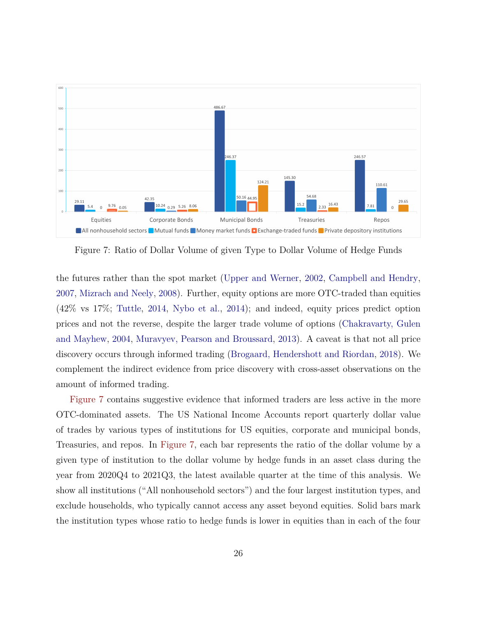<span id="page-26-0"></span>

Figure 7: Ratio of Dollar Volume of given Type to Dollar Volume of Hedge Funds

the futures rather than the spot market [\(Upper and Werner,](#page-51-4) [2002,](#page-51-4) [Campbell and Hendry,](#page-47-6) [2007,](#page-47-6) [Mizrach and Neely,](#page-50-10) [2008\)](#page-50-10). Further, equity options are more OTC-traded than equities (42% vs 17%; [Tuttle,](#page-51-2) [2014,](#page-51-2) [Nybo et al.,](#page-50-7) [2014\)](#page-50-7); and indeed, equity prices predict option prices and not the reverse, despite the larger trade volume of options [\(Chakravarty, Gulen](#page-47-7) [and Mayhew,](#page-47-7) [2004,](#page-47-7) [Muravyev, Pearson and Broussard,](#page-50-11) [2013\)](#page-50-11). A caveat is that not all price discovery occurs through informed trading [\(Brogaard, Hendershott and Riordan,](#page-46-4) [2018\)](#page-46-4). We complement the indirect evidence from price discovery with cross-asset observations on the amount of informed trading.

[Figure 7](#page-26-0) contains suggestive evidence that informed traders are less active in the more OTC-dominated assets. The US National Income Accounts report quarterly dollar value of trades by various types of institutions for US equities, corporate and municipal bonds, Treasuries, and repos. In [Figure 7,](#page-26-0) each bar represents the ratio of the dollar volume by a given type of institution to the dollar volume by hedge funds in an asset class during the year from 2020Q4 to 2021Q3, the latest available quarter at the time of this analysis. We show all institutions ("All nonhousehold sectors") and the four largest institution types, and exclude households, who typically cannot access any asset beyond equities. Solid bars mark the institution types whose ratio to hedge funds is lower in equities than in each of the four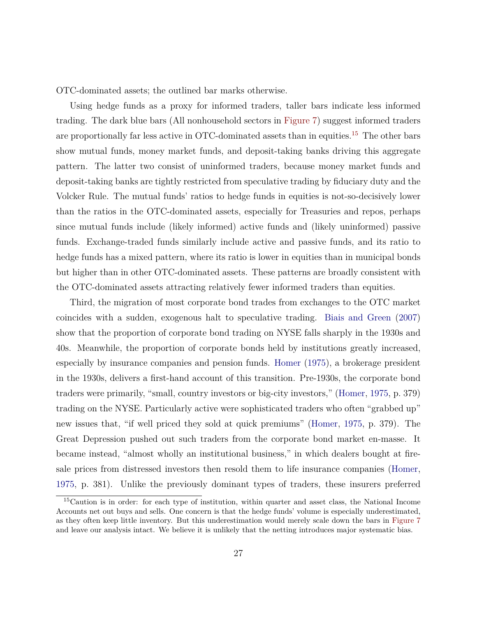OTC-dominated assets; the outlined bar marks otherwise.

Using hedge funds as a proxy for informed traders, taller bars indicate less informed trading. The dark blue bars (All nonhousehold sectors in [Figure 7\)](#page-26-0) suggest informed traders are proportionally far less active in OTC-dominated assets than in equities.<sup>[15](#page-27-0)</sup> The other bars show mutual funds, money market funds, and deposit-taking banks driving this aggregate pattern. The latter two consist of uninformed traders, because money market funds and deposit-taking banks are tightly restricted from speculative trading by fiduciary duty and the Volcker Rule. The mutual funds' ratios to hedge funds in equities is not-so-decisively lower than the ratios in the OTC-dominated assets, especially for Treasuries and repos, perhaps since mutual funds include (likely informed) active funds and (likely uninformed) passive funds. Exchange-traded funds similarly include active and passive funds, and its ratio to hedge funds has a mixed pattern, where its ratio is lower in equities than in municipal bonds but higher than in other OTC-dominated assets. These patterns are broadly consistent with the OTC-dominated assets attracting relatively fewer informed traders than equities.

Third, the migration of most corporate bond trades from exchanges to the OTC market coincides with a sudden, exogenous halt to speculative trading. [Biais and Green](#page-46-5) [\(2007\)](#page-46-5) show that the proportion of corporate bond trading on NYSE falls sharply in the 1930s and 40s. Meanwhile, the proportion of corporate bonds held by institutions greatly increased, especially by insurance companies and pension funds. [Homer](#page-49-4) [\(1975\)](#page-49-4), a brokerage president in the 1930s, delivers a first-hand account of this transition. Pre-1930s, the corporate bond traders were primarily, "small, country investors or big-city investors," [\(Homer,](#page-49-4) [1975,](#page-49-4) p. 379) trading on the NYSE. Particularly active were sophisticated traders who often "grabbed up" new issues that, "if well priced they sold at quick premiums" [\(Homer,](#page-49-4) [1975,](#page-49-4) p. 379). The Great Depression pushed out such traders from the corporate bond market en-masse. It became instead, "almost wholly an institutional business," in which dealers bought at firesale prices from distressed investors then resold them to life insurance companies [\(Homer,](#page-49-4) [1975,](#page-49-4) p. 381). Unlike the previously dominant types of traders, these insurers preferred

<span id="page-27-0"></span><sup>15</sup>Caution is in order: for each type of institution, within quarter and asset class, the National Income Accounts net out buys and sells. One concern is that the hedge funds' volume is especially underestimated, as they often keep little inventory. But this underestimation would merely scale down the bars in [Figure 7](#page-26-0) and leave our analysis intact. We believe it is unlikely that the netting introduces major systematic bias.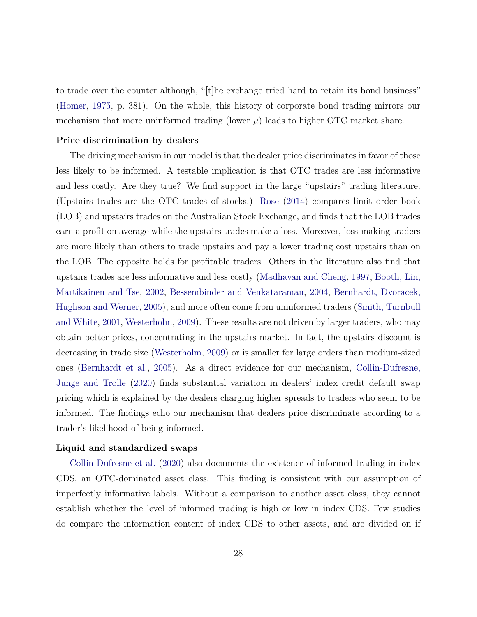to trade over the counter although, "[t]he exchange tried hard to retain its bond business" [\(Homer,](#page-49-4) [1975,](#page-49-4) p. 381). On the whole, this history of corporate bond trading mirrors our mechanism that more uninformed trading (lower  $\mu$ ) leads to higher OTC market share.

#### **Price discrimination by dealers**

The driving mechanism in our model is that the dealer price discriminates in favor of those less likely to be informed. A testable implication is that OTC trades are less informative and less costly. Are they true? We find support in the large "upstairs" trading literature. (Upstairs trades are the OTC trades of stocks.) [Rose](#page-50-12) [\(2014\)](#page-50-12) compares limit order book (LOB) and upstairs trades on the Australian Stock Exchange, and finds that the LOB trades earn a profit on average while the upstairs trades make a loss. Moreover, loss-making traders are more likely than others to trade upstairs and pay a lower trading cost upstairs than on the LOB. The opposite holds for profitable traders. Others in the literature also find that upstairs trades are less informative and less costly [\(Madhavan and Cheng,](#page-49-5) [1997,](#page-49-5) [Booth, Lin,](#page-46-6) [Martikainen and Tse,](#page-46-6) [2002,](#page-46-6) [Bessembinder and Venkataraman,](#page-46-7) [2004,](#page-46-7) [Bernhardt, Dvoracek,](#page-46-8) [Hughson and Werner,](#page-46-8) [2005\)](#page-46-8), and more often come from uninformed traders [\(Smith, Turnbull](#page-51-5) [and White,](#page-51-5) [2001,](#page-51-5) [Westerholm,](#page-51-6) [2009\)](#page-51-6). These results are not driven by larger traders, who may obtain better prices, concentrating in the upstairs market. In fact, the upstairs discount is decreasing in trade size [\(Westerholm,](#page-51-6) [2009\)](#page-51-6) or is smaller for large orders than medium-sized ones [\(Bernhardt et al.,](#page-46-8) [2005\)](#page-46-8). As a direct evidence for our mechanism, [Collin-Dufresne,](#page-47-8) [Junge and Trolle](#page-47-8) [\(2020\)](#page-47-8) finds substantial variation in dealers' index credit default swap pricing which is explained by the dealers charging higher spreads to traders who seem to be informed. The findings echo our mechanism that dealers price discriminate according to a trader's likelihood of being informed.

#### **Liquid and standardized swaps**

[Collin-Dufresne et al.](#page-47-8) [\(2020\)](#page-47-8) also documents the existence of informed trading in index CDS, an OTC-dominated asset class. This finding is consistent with our assumption of imperfectly informative labels. Without a comparison to another asset class, they cannot establish whether the level of informed trading is high or low in index CDS. Few studies do compare the information content of index CDS to other assets, and are divided on if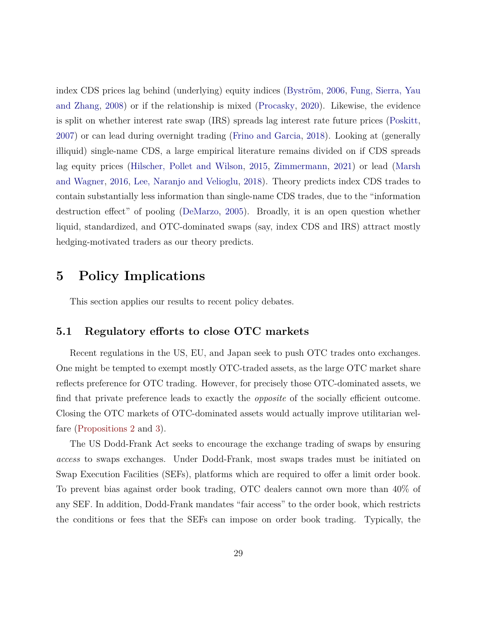index CDS prices lag behind (underlying) equity indices [\(Byström,](#page-47-9) [2006,](#page-47-9) [Fung, Sierra, Yau](#page-48-6) [and Zhang,](#page-48-6) [2008\)](#page-48-6) or if the relationship is mixed [\(Procasky,](#page-50-13) [2020\)](#page-50-13). Likewise, the evidence is split on whether interest rate swap (IRS) spreads lag interest rate future prices [\(Poskitt,](#page-50-14) [2007\)](#page-50-14) or can lead during overnight trading [\(Frino and Garcia,](#page-48-7) [2018\)](#page-48-7). Looking at (generally illiquid) single-name CDS, a large empirical literature remains divided on if CDS spreads lag equity prices [\(Hilscher, Pollet and Wilson,](#page-49-6) [2015,](#page-49-6) [Zimmermann,](#page-51-7) [2021\)](#page-51-7) or lead [\(Marsh](#page-49-7) [and Wagner,](#page-49-7) [2016,](#page-49-7) [Lee, Naranjo and Velioglu,](#page-49-8) [2018\)](#page-49-8). Theory predicts index CDS trades to contain substantially less information than single-name CDS trades, due to the "information destruction effect" of pooling [\(DeMarzo,](#page-47-0) [2005\)](#page-47-0). Broadly, it is an open question whether liquid, standardized, and OTC-dominated swaps (say, index CDS and IRS) attract mostly hedging-motivated traders as our theory predicts.

## <span id="page-29-0"></span>**5 Policy Implications**

This section applies our results to recent policy debates.

#### **5.1 Regulatory efforts to close OTC markets**

Recent regulations in the US, EU, and Japan seek to push OTC trades onto exchanges. One might be tempted to exempt mostly OTC-traded assets, as the large OTC market share reflects preference for OTC trading. However, for precisely those OTC-dominated assets, we find that private preference leads to exactly the *opposite* of the socially efficient outcome. Closing the OTC markets of OTC-dominated assets would actually improve utilitarian welfare [\(Propositions 2](#page-12-1) and [3\)](#page-13-0).

The US Dodd-Frank Act seeks to encourage the exchange trading of swaps by ensuring *access* to swaps exchanges. Under Dodd-Frank, most swaps trades must be initiated on Swap Execution Facilities (SEFs), platforms which are required to offer a limit order book. To prevent bias against order book trading, OTC dealers cannot own more than 40% of any SEF. In addition, Dodd-Frank mandates "fair access" to the order book, which restricts the conditions or fees that the SEFs can impose on order book trading. Typically, the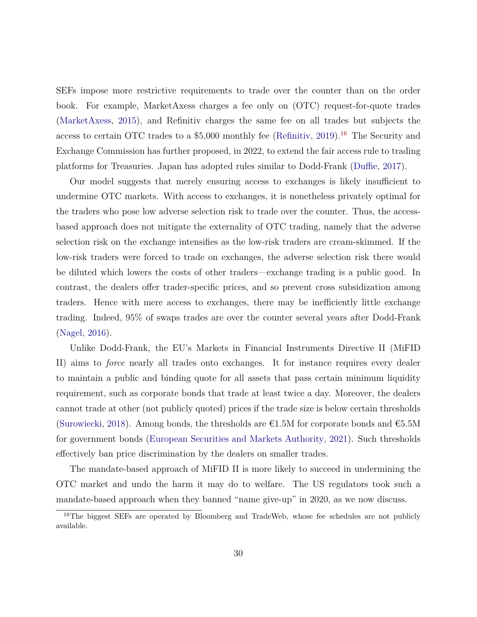SEFs impose more restrictive requirements to trade over the counter than on the order book. For example, MarketAxess charges a fee only on (OTC) request-for-quote trades [\(MarketAxess,](#page-49-9) [2015\)](#page-49-9), and Refinitiv charges the same fee on all trades but subjects the access to certain OTC trades to a  $$5,000$  monthly fee [\(Refinitiv,](#page-50-15) [2019\)](#page-50-15).<sup>[16](#page-30-0)</sup> The Security and Exchange Commission has further proposed, in 2022, to extend the fair access rule to trading platforms for Treasuries. Japan has adopted rules similar to Dodd-Frank [\(Duffie,](#page-47-10) [2017\)](#page-47-10).

Our model suggests that merely ensuring access to exchanges is likely insufficient to undermine OTC markets. With access to exchanges, it is nonetheless privately optimal for the traders who pose low adverse selection risk to trade over the counter. Thus, the accessbased approach does not mitigate the externality of OTC trading, namely that the adverse selection risk on the exchange intensifies as the low-risk traders are cream-skimmed. If the low-risk traders were forced to trade on exchanges, the adverse selection risk there would be diluted which lowers the costs of other traders—exchange trading is a public good. In contrast, the dealers offer trader-specific prices, and so prevent cross subsidization among traders. Hence with mere access to exchanges, there may be inefficiently little exchange trading. Indeed, 95% of swaps trades are over the counter several years after Dodd-Frank [\(Nagel,](#page-50-0) [2016\)](#page-50-0).

Unlike Dodd-Frank, the EU's Markets in Financial Instruments Directive II (MiFID II) aims to *force* nearly all trades onto exchanges. It for instance requires every dealer to maintain a public and binding quote for all assets that pass certain minimum liquidity requirement, such as corporate bonds that trade at least twice a day. Moreover, the dealers cannot trade at other (not publicly quoted) prices if the trade size is below certain thresholds [\(Surowiecki,](#page-51-8) [2018\)](#page-51-8). Among bonds, the thresholds are  $\epsilon$ 1.5M for corporate bonds and  $\epsilon$ 5.5M for government bonds [\(European Securities and Markets Authority,](#page-48-8) [2021\)](#page-48-8). Such thresholds effectively ban price discrimination by the dealers on smaller trades.

The mandate-based approach of MiFID II is more likely to succeed in undermining the OTC market and undo the harm it may do to welfare. The US regulators took such a mandate-based approach when they banned "name give-up" in 2020, as we now discuss.

<span id="page-30-0"></span><sup>&</sup>lt;sup>16</sup>The biggest SEFs are operated by Bloomberg and TradeWeb, whose fee schedules are not publicly available.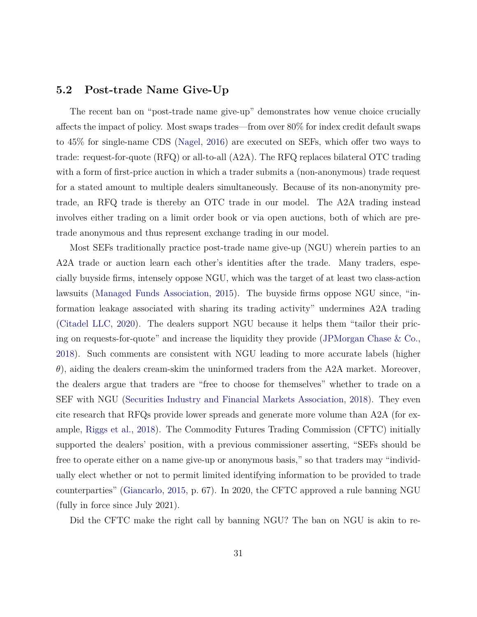#### <span id="page-31-0"></span>**5.2 Post-trade Name Give-Up**

The recent ban on "post-trade name give-up" demonstrates how venue choice crucially affects the impact of policy. Most swaps trades—from over 80% for index credit default swaps to 45% for single-name CDS [\(Nagel,](#page-50-0) [2016\)](#page-50-0) are executed on SEFs, which offer two ways to trade: request-for-quote (RFQ) or all-to-all (A2A). The RFQ replaces bilateral OTC trading with a form of first-price auction in which a trader submits a (non-anonymous) trade request for a stated amount to multiple dealers simultaneously. Because of its non-anonymity pretrade, an RFQ trade is thereby an OTC trade in our model. The A2A trading instead involves either trading on a limit order book or via open auctions, both of which are pretrade anonymous and thus represent exchange trading in our model.

Most SEFs traditionally practice post-trade name give-up (NGU) wherein parties to an A2A trade or auction learn each other's identities after the trade. Many traders, especially buyside firms, intensely oppose NGU, which was the target of at least two class-action lawsuits [\(Managed Funds Association,](#page-49-10) [2015\)](#page-49-10). The buyside firms oppose NGU since, "information leakage associated with sharing its trading activity" undermines A2A trading [\(Citadel LLC,](#page-47-11) [2020\)](#page-47-11). The dealers support NGU because it helps them "tailor their pricing on requests-for-quote" and increase the liquidity they provide [\(JPMorgan Chase & Co.,](#page-49-11) [2018\)](#page-49-11). Such comments are consistent with NGU leading to more accurate labels (higher *θ*), aiding the dealers cream-skim the uninformed traders from the A2A market. Moreover, the dealers argue that traders are "free to choose for themselves" whether to trade on a SEF with NGU [\(Securities Industry and Financial Markets Association,](#page-51-9) [2018\)](#page-51-9). They even cite research that RFQs provide lower spreads and generate more volume than A2A (for example, [Riggs et al.,](#page-50-8) [2018\)](#page-50-8). The Commodity Futures Trading Commission (CFTC) initially supported the dealers' position, with a previous commissioner asserting, "SEFs should be free to operate either on a name give-up or anonymous basis," so that traders may "individually elect whether or not to permit limited identifying information to be provided to trade counterparties" [\(Giancarlo,](#page-48-9) [2015,](#page-48-9) p. 67). In 2020, the CFTC approved a rule banning NGU (fully in force since July 2021).

Did the CFTC make the right call by banning NGU? The ban on NGU is akin to re-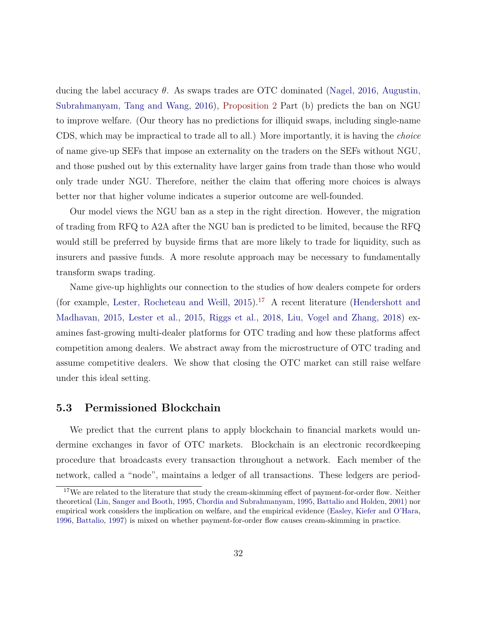ducing the label accuracy *θ*. As swaps trades are OTC dominated [\(Nagel,](#page-50-0) [2016,](#page-50-0) [Augustin,](#page-46-9) [Subrahmanyam, Tang and Wang,](#page-46-9) [2016\)](#page-46-9), [Proposition 2](#page-12-1) Part (b) predicts the ban on NGU to improve welfare. (Our theory has no predictions for illiquid swaps, including single-name CDS, which may be impractical to trade all to all.) More importantly, it is having the *choice* of name give-up SEFs that impose an externality on the traders on the SEFs without NGU, and those pushed out by this externality have larger gains from trade than those who would only trade under NGU. Therefore, neither the claim that offering more choices is always better nor that higher volume indicates a superior outcome are well-founded.

Our model views the NGU ban as a step in the right direction. However, the migration of trading from RFQ to A2A after the NGU ban is predicted to be limited, because the RFQ would still be preferred by buyside firms that are more likely to trade for liquidity, such as insurers and passive funds. A more resolute approach may be necessary to fundamentally transform swaps trading.

Name give-up highlights our connection to the studies of how dealers compete for orders (for example, [Lester, Rocheteau and Weill,](#page-49-12) [2015\)](#page-49-12).[17](#page-32-0) A recent literature [\(Hendershott and](#page-48-10) [Madhavan,](#page-48-10) [2015,](#page-48-10) [Lester et al.,](#page-49-12) [2015,](#page-49-12) [Riggs et al.,](#page-50-8) [2018,](#page-50-8) [Liu, Vogel and Zhang,](#page-49-13) [2018\)](#page-49-13) examines fast-growing multi-dealer platforms for OTC trading and how these platforms affect competition among dealers. We abstract away from the microstructure of OTC trading and assume competitive dealers. We show that closing the OTC market can still raise welfare under this ideal setting.

#### **5.3 Permissioned Blockchain**

We predict that the current plans to apply blockchain to financial markets would undermine exchanges in favor of OTC markets. Blockchain is an electronic recordkeeping procedure that broadcasts every transaction throughout a network. Each member of the network, called a "node", maintains a ledger of all transactions. These ledgers are period-

<span id="page-32-0"></span><sup>&</sup>lt;sup>17</sup>We are related to the literature that study the cream-skimming effect of payment-for-order flow. Neither theoretical [\(Lin, Sanger and Booth,](#page-49-14) [1995,](#page-49-14) [Chordia and Subrahmanyam,](#page-47-12) [1995,](#page-47-12) [Battalio and Holden,](#page-46-10) [2001\)](#page-46-10) nor empirical work considers the implication on welfare, and the empirical evidence [\(Easley, Kiefer and O'Hara,](#page-48-11) [1996,](#page-48-11) [Battalio,](#page-46-11) [1997\)](#page-46-11) is mixed on whether payment-for-order flow causes cream-skimming in practice.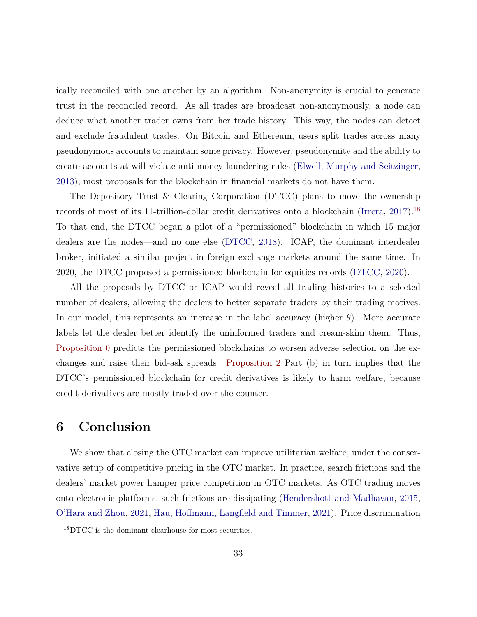ically reconciled with one another by an algorithm. Non-anonymity is crucial to generate trust in the reconciled record. As all trades are broadcast non-anonymously, a node can deduce what another trader owns from her trade history. This way, the nodes can detect and exclude fraudulent trades. On Bitcoin and Ethereum, users split trades across many pseudonymous accounts to maintain some privacy. However, pseudonymity and the ability to create accounts at will violate anti-money-laundering rules [\(Elwell, Murphy and Seitzinger,](#page-48-12) [2013\)](#page-48-12); most proposals for the blockchain in financial markets do not have them.

The Depository Trust & Clearing Corporation (DTCC) plans to move the ownership records of most of its 11-trillion-dollar credit derivatives onto a blockchain [\(Irrera,](#page-49-15) [2017\)](#page-49-15).[18](#page-33-1) To that end, the DTCC began a pilot of a "permissioned" blockchain in which 15 major dealers are the nodes—and no one else [\(DTCC,](#page-47-13) [2018\)](#page-47-13). ICAP, the dominant interdealer broker, initiated a similar project in foreign exchange markets around the same time. In 2020, the DTCC proposed a permissioned blockchain for equities records [\(DTCC,](#page-47-14) [2020\)](#page-47-14).

All the proposals by DTCC or ICAP would reveal all trading histories to a selected number of dealers, allowing the dealers to better separate traders by their trading motives. In our model, this represents an increase in the label accuracy (higher *θ*). More accurate labels let the dealer better identify the uninformed traders and cream-skim them. Thus, [Proposition 0](#page-10-0) predicts the permissioned blockchains to worsen adverse selection on the exchanges and raise their bid-ask spreads. [Proposition 2](#page-12-1) Part (b) in turn implies that the DTCC's permissioned blockchain for credit derivatives is likely to harm welfare, because credit derivatives are mostly traded over the counter.

## <span id="page-33-0"></span>**6 Conclusion**

We show that closing the OTC market can improve utilitarian welfare, under the conservative setup of competitive pricing in the OTC market. In practice, search frictions and the dealers' market power hamper price competition in OTC markets. As OTC trading moves onto electronic platforms, such frictions are dissipating [\(Hendershott and Madhavan,](#page-48-10) [2015,](#page-48-10) [O'Hara and Zhou,](#page-50-16) [2021,](#page-50-16) [Hau, Hoffmann, Langfield and Timmer,](#page-48-13) [2021\)](#page-48-13). Price discrimination

<span id="page-33-1"></span><sup>18</sup>DTCC is the dominant clearhouse for most securities.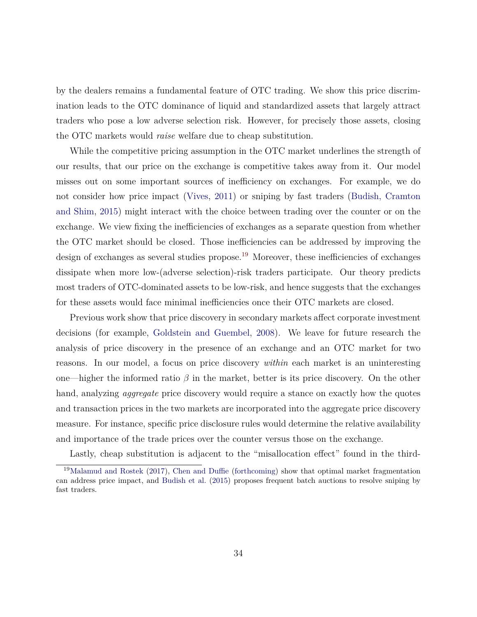by the dealers remains a fundamental feature of OTC trading. We show this price discrimination leads to the OTC dominance of liquid and standardized assets that largely attract traders who pose a low adverse selection risk. However, for precisely those assets, closing the OTC markets would *raise* welfare due to cheap substitution.

While the competitive pricing assumption in the OTC market underlines the strength of our results, that our price on the exchange is competitive takes away from it. Our model misses out on some important sources of inefficiency on exchanges. For example, we do not consider how price impact [\(Vives,](#page-51-10) [2011\)](#page-51-10) or sniping by fast traders [\(Budish, Cramton](#page-46-12) [and Shim,](#page-46-12) [2015\)](#page-46-12) might interact with the choice between trading over the counter or on the exchange. We view fixing the inefficiencies of exchanges as a separate question from whether the OTC market should be closed. Those inefficiencies can be addressed by improving the design of exchanges as several studies propose.<sup>[19](#page-34-0)</sup> Moreover, these inefficiencies of exchanges dissipate when more low-(adverse selection)-risk traders participate. Our theory predicts most traders of OTC-dominated assets to be low-risk, and hence suggests that the exchanges for these assets would face minimal inefficiencies once their OTC markets are closed.

Previous work show that price discovery in secondary markets affect corporate investment decisions (for example, [Goldstein and Guembel,](#page-48-14) [2008\)](#page-48-14). We leave for future research the analysis of price discovery in the presence of an exchange and an OTC market for two reasons. In our model, a focus on price discovery *within* each market is an uninteresting one—higher the informed ratio *β* in the market, better is its price discovery. On the other hand, analyzing *aggregate* price discovery would require a stance on exactly how the quotes and transaction prices in the two markets are incorporated into the aggregate price discovery measure. For instance, specific price disclosure rules would determine the relative availability and importance of the trade prices over the counter versus those on the exchange.

<span id="page-34-0"></span>Lastly, cheap substitution is adjacent to the "misallocation effect" found in the third-

<sup>19</sup>[Malamud and Rostek](#page-49-16) [\(2017\)](#page-49-16), [Chen and Duffie](#page-47-15) [\(forthcoming\)](#page-47-15) show that optimal market fragmentation can address price impact, and [Budish et al.](#page-46-12) [\(2015\)](#page-46-12) proposes frequent batch auctions to resolve sniping by fast traders.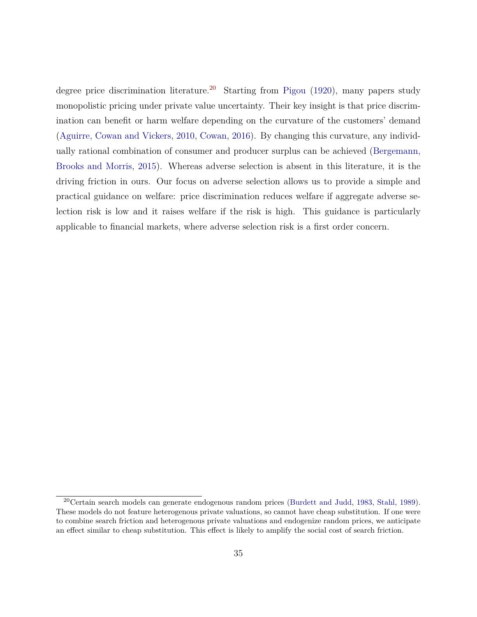degree price discrimination literature.<sup>[20](#page-35-0)</sup> Starting from [Pigou](#page-50-17) [\(1920\)](#page-50-17), many papers study monopolistic pricing under private value uncertainty. Their key insight is that price discrimination can benefit or harm welfare depending on the curvature of the customers' demand [\(Aguirre, Cowan and Vickers,](#page-46-13) [2010,](#page-46-13) [Cowan,](#page-47-16) [2016\)](#page-47-16). By changing this curvature, any individually rational combination of consumer and producer surplus can be achieved [\(Bergemann,](#page-46-14) [Brooks and Morris,](#page-46-14) [2015\)](#page-46-14). Whereas adverse selection is absent in this literature, it is the driving friction in ours. Our focus on adverse selection allows us to provide a simple and practical guidance on welfare: price discrimination reduces welfare if aggregate adverse selection risk is low and it raises welfare if the risk is high. This guidance is particularly applicable to financial markets, where adverse selection risk is a first order concern.

<span id="page-35-0"></span><sup>20</sup>Certain search models can generate endogenous random prices [\(Burdett and Judd,](#page-46-15) [1983,](#page-46-15) [Stahl,](#page-51-11) [1989\)](#page-51-11). These models do not feature heterogenous private valuations, so cannot have cheap substitution. If one were to combine search friction and heterogenous private valuations and endogenize random prices, we anticipate an effect similar to cheap substitution. This effect is likely to amplify the social cost of search friction.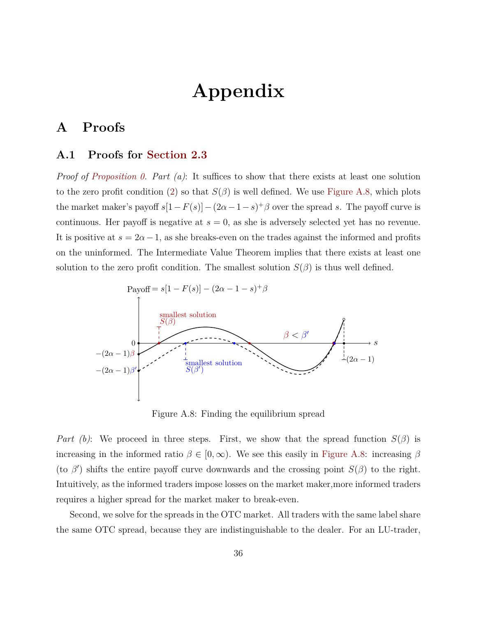# **Appendix**

## <span id="page-36-0"></span>**A Proofs**

#### **A.1 Proofs for [Section 2.3](#page-9-0)**

*Proof of [Proposition 0.](#page-10-0) Part (a)*: It suffices to show that there exists at least one solution to the zero profit condition [\(2\)](#page-17-2) so that  $S(\beta)$  is well defined. We use [Figure A.8,](#page-36-1) which plots the market maker's payoff  $s[1-F(s)]-(2\alpha-1-s)^+\beta$  over the spread *s*. The payoff curve is continuous. Her payoff is negative at  $s = 0$ , as she is adversely selected yet has no revenue. It is positive at  $s = 2\alpha - 1$ , as she breaks-even on the trades against the informed and profits on the uninformed. The Intermediate Value Theorem implies that there exists at least one solution to the zero profit condition. The smallest solution  $S(\beta)$  is thus well defined.

<span id="page-36-1"></span>

Figure A.8: Finding the equilibrium spread

*Part (b)*: We proceed in three steps. First, we show that the spread function  $S(\beta)$  is increasing in the informed ratio  $\beta \in [0, \infty)$ . We see this easily in [Figure A.8:](#page-36-1) increasing  $\beta$ (to  $\beta'$ ) shifts the entire payoff curve downwards and the crossing point  $S(\beta)$  to the right. Intuitively, as the informed traders impose losses on the market maker,more informed traders requires a higher spread for the market maker to break-even.

Second, we solve for the spreads in the OTC market. All traders with the same label share the same OTC spread, because they are indistinguishable to the dealer. For an LU-trader,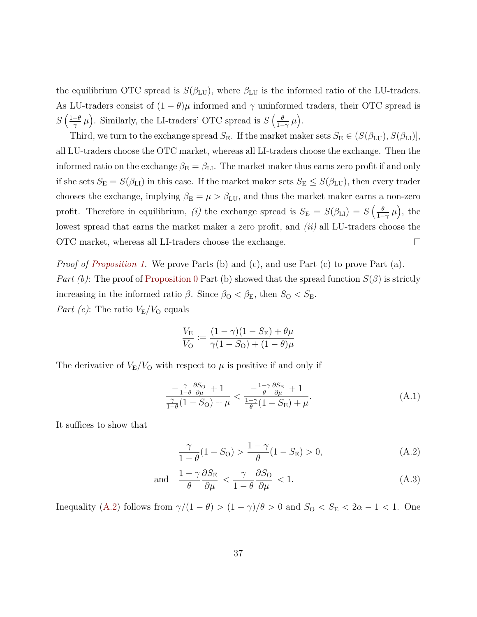the equilibrium OTC spread is  $S(\beta_{\text{LU}})$ , where  $\beta_{\text{LU}}$  is the informed ratio of the LU-traders. As LU-traders consist of  $(1 - \theta)\mu$  informed and  $\gamma$  uninformed traders, their OTC spread is  $S\left(\frac{1-\theta}{\alpha}\right)$  $\frac{-\theta}{\gamma}$   $\mu$ ). Similarly, the LI-traders' OTC spread is  $S\left(\frac{\theta}{1-\epsilon}\right)$  $\frac{\theta}{1-\gamma}\mu$ ).

Third, we turn to the exchange spread  $S_{\rm E}$ . If the market maker sets  $S_{\rm E} \in (S(\beta_{\rm LU}), S(\beta_{\rm LI})]$ , all LU-traders choose the OTC market, whereas all LI-traders choose the exchange. Then the informed ratio on the exchange  $\beta_{\rm E} = \beta_{\rm LI}$ . The market maker thus earns zero profit if and only if she sets  $S_{\rm E} = S(\beta_{\rm LI})$  in this case. If the market maker sets  $S_{\rm E} \leq S(\beta_{\rm LU})$ , then every trader chooses the exchange, implying  $\beta_{\rm E} = \mu > \beta_{\rm LU}$ , and thus the market maker earns a non-zero profit. Therefore in equilibrium, *(i)* the exchange spread is  $S_{\text{E}} = S(\beta_{\text{LI}}) = S(\frac{\theta}{1-\theta_{\text{LI}}})$  $\frac{\theta}{1-\gamma}\mu$ ), the lowest spread that earns the market maker a zero profit, and *(ii)* all LU-traders choose the  $\Box$ OTC market, whereas all LI-traders choose the exchange.

*Proof of [Proposition 1.](#page-11-0)* We prove Parts (b) and (c), and use Part (c) to prove Part (a). *Part (b)*: The proof of [Proposition 0](#page-10-0) Part (b) showed that the spread function  $S(\beta)$  is strictly increasing in the informed ratio  $\beta$ . Since  $\beta_{\rm O} < \beta_{\rm E}$ , then  $S_{\rm O} < S_{\rm E}$ . *Part (c)*: The ratio  $V_{\rm E}/V_{\rm O}$  equals

$$
\frac{V_{\rm E}}{V_{\rm O}} := \frac{(1 - \gamma)(1 - S_{\rm E}) + \theta \mu}{\gamma (1 - S_{\rm O}) + (1 - \theta)\mu}
$$

The derivative of  $V_{\rm E}/V_{\rm O}$  with respect to  $\mu$  is positive if and only if

$$
\frac{-\frac{\gamma}{1-\theta}\frac{\partial S_{\mathcal{O}}}{\partial \mu} + 1}{\frac{\gamma}{1-\theta}(1-S_{\mathcal{O}}) + \mu} < \frac{-\frac{1-\gamma}{\theta}\frac{\partial S_{\mathcal{E}}}{\partial \mu} + 1}{\frac{1-\gamma}{\theta}(1-S_{\mathcal{E}}) + \mu}.\tag{A.1}
$$

It suffices to show that

<span id="page-37-1"></span><span id="page-37-0"></span>
$$
\frac{\gamma}{1-\theta}(1-S_{\rm O}) > \frac{1-\gamma}{\theta}(1-S_{\rm E}) > 0,\tag{A.2}
$$

and 
$$
\frac{1-\gamma}{\theta} \frac{\partial S_{\rm E}}{\partial \mu} < \frac{\gamma}{1-\theta} \frac{\partial S_{\rm O}}{\partial \mu} < 1. \tag{A.3}
$$

Inequality [\(A.2\)](#page-37-0) follows from  $\gamma/(1 - \theta) > (1 - \gamma)/\theta > 0$  and  $S_{\text{O}} < S_{\text{E}} < 2\alpha - 1 < 1$ . One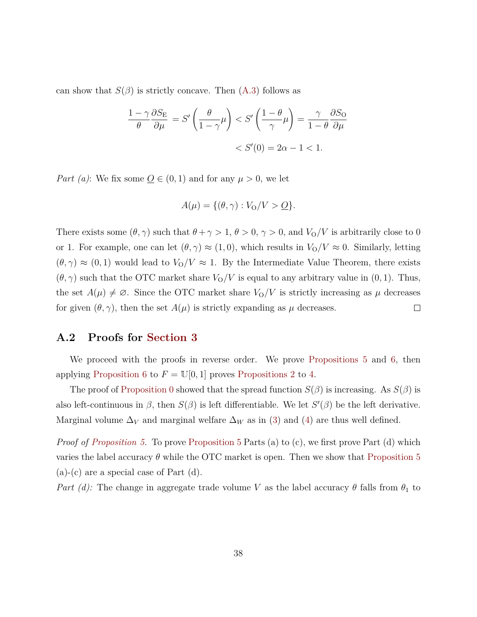can show that  $S(\beta)$  is strictly concave. Then  $(A.3)$  follows as

$$
\frac{1-\gamma}{\theta} \frac{\partial S_{\rm E}}{\partial \mu} = S' \left( \frac{\theta}{1-\gamma} \mu \right) < S' \left( \frac{1-\theta}{\gamma} \mu \right) = \frac{\gamma}{1-\theta} \frac{\partial S_{\rm O}}{\partial \mu} \\
&< S'(0) = 2\alpha - 1 < 1.
$$

*Part (a)*: We fix some  $Q \in (0,1)$  and for any  $\mu > 0$ , we let

$$
A(\mu) = \{(\theta, \gamma) : V_0/V > \underline{O}\}.
$$

There exists some  $(\theta, \gamma)$  such that  $\theta + \gamma > 1$ ,  $\theta > 0$ ,  $\gamma > 0$ , and  $V_0/V$  is arbitrarily close to 0 or 1. For example, one can let  $(\theta, \gamma) \approx (1, 0)$ , which results in  $V_0/V \approx 0$ . Similarly, letting  $(\theta, \gamma) \approx (0, 1)$  would lead to  $V_0/V \approx 1$ . By the Intermediate Value Theorem, there exists  $(\theta, \gamma)$  such that the OTC market share  $V_0/V$  is equal to any arbitrary value in  $(0, 1)$ . Thus, the set  $A(\mu) \neq \emptyset$ . Since the OTC market share  $V_0/V$  is strictly increasing as  $\mu$  decreases for given  $(\theta, \gamma)$ , then the set  $A(\mu)$  is strictly expanding as  $\mu$  decreases.  $\Box$ 

## <span id="page-38-0"></span>**A.2 Proofs for [Section 3](#page-12-0)**

We proceed with the proofs in reverse order. We prove [Propositions 5](#page-18-0) and [6,](#page-21-0) then applying [Proposition 6](#page-21-0) to  $F = \mathbb{U}[0,1]$  proves [Propositions 2](#page-12-1) to [4.](#page-16-2)

The proof of [Proposition 0](#page-10-0) showed that the spread function  $S(\beta)$  is increasing. As  $S(\beta)$  is also left-continuous in  $\beta$ , then  $S(\beta)$  is left differentiable. We let  $S'(\beta)$  be the left derivative. Marginal volume  $\Delta_V$  and marginal welfare  $\Delta_W$  as in [\(3\)](#page-18-1) and [\(4\)](#page-18-2) are thus well defined.

*Proof of [Proposition 5.](#page-18-0)* To prove [Proposition 5](#page-18-0) Parts (a) to (c), we first prove Part (d) which varies the label accuracy  $\theta$  while the OTC market is open. Then we show that [Proposition 5](#page-18-0) (a)-(c) are a special case of Part (d).

*Part (d):* The change in aggregate trade volume *V* as the label accuracy  $\theta$  falls from  $\theta_1$  to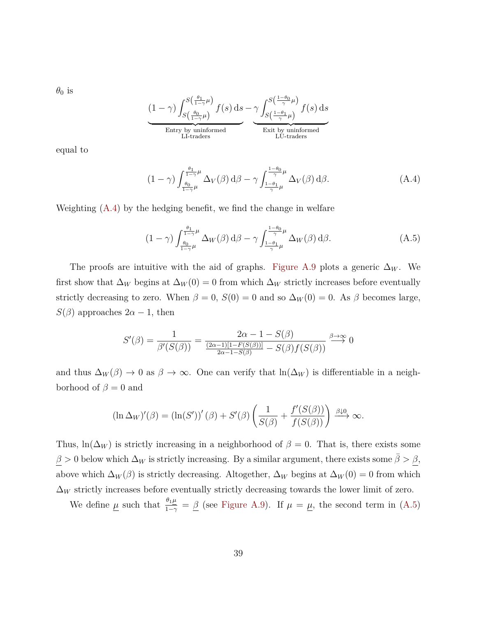$\theta_0$  is

$$
\underbrace{(1-\gamma)\int_{S\left(\frac{\theta_{0}}{1-\gamma}\mu\right)}^{S\left(\frac{\theta_{1}}{1-\gamma}\mu\right)}f(s)\,\mathrm{d}s}_{\substack{\text{Entry by uninformed} \\ \text{L1-traders}}}\underbrace{\gamma\int_{S\left(\frac{1-\theta_{1}}{\gamma}\mu\right)}^{S\left(\frac{1-\theta_{0}}{\gamma}\mu\right)}f(s)\,\mathrm{d}s}_{\substack{\text{Erit by uninformed} \\ \text{LU-traders}}}
$$

equal to

<span id="page-39-0"></span>
$$
(1 - \gamma) \int_{\frac{\theta_0}{1 - \gamma}\mu}^{\frac{\theta_1}{1 - \gamma}\mu} \Delta_V(\beta) d\beta - \gamma \int_{\frac{1 - \theta_1}{\gamma}\mu}^{\frac{1 - \theta_0}{\gamma}\mu} \Delta_V(\beta) d\beta.
$$
 (A.4)

Weighting [\(A.4\)](#page-39-0) by the hedging benefit, we find the change in welfare

<span id="page-39-1"></span>
$$
(1 - \gamma) \int_{\frac{\theta_0}{1 - \gamma} \mu}^{\frac{\theta_1}{1 - \gamma} \mu} \Delta_W(\beta) d\beta - \gamma \int_{\frac{1 - \theta_1}{\gamma} \mu}^{\frac{1 - \theta_0}{\gamma} \mu} \Delta_W(\beta) d\beta.
$$
 (A.5)

The proofs are intuitive with the aid of graphs. [Figure A.9](#page-40-0) plots a generic  $\Delta_W$ . We first show that  $\Delta_W$  begins at  $\Delta_W(0) = 0$  from which  $\Delta_W$  strictly increases before eventually strictly decreasing to zero. When  $\beta = 0$ ,  $S(0) = 0$  and so  $\Delta_W(0) = 0$ . As  $\beta$  becomes large, *S*( $\beta$ ) approaches 2*α* − 1, then

$$
S'(\beta) = \frac{1}{\beta'(S(\beta))} = \frac{2\alpha - 1 - S(\beta)}{\frac{(2\alpha - 1)[1 - F(S(\beta))]}{2\alpha - 1 - S(\beta)} - S(\beta)f(S(\beta))} \xrightarrow{\beta \to \infty} 0
$$

and thus  $\Delta_W(\beta) \to 0$  as  $\beta \to \infty$ . One can verify that ln( $\Delta_W$ ) is differentiable in a neighborhood of  $\beta = 0$  and

$$
(\ln \Delta_W)'(\beta) = (\ln(S'))'(\beta) + S'(\beta) \left(\frac{1}{S(\beta)} + \frac{f'(S(\beta))}{f(S(\beta))}\right) \xrightarrow{\beta \downarrow 0} \infty.
$$

Thus,  $\ln(\Delta_W)$  is strictly increasing in a neighborhood of  $\beta = 0$ . That is, there exists some  $\beta > 0$  below which  $\Delta_W$  is strictly increasing. By a similar argument, there exists some  $\bar{\beta} > \underline{\beta}$ , above which  $\Delta_W(\beta)$  is strictly decreasing. Altogether,  $\Delta_W$  begins at  $\Delta_W(0) = 0$  from which  $\Delta_W$  strictly increases before eventually strictly decreasing towards the lower limit of zero.

We define  $\underline{\mu}$  such that  $\frac{\theta_1 \underline{\mu}}{1-\gamma} = \underline{\beta}$  (see [Figure A.9\)](#page-40-0). If  $\mu = \underline{\mu}$ , the second term in [\(A.5\)](#page-39-1)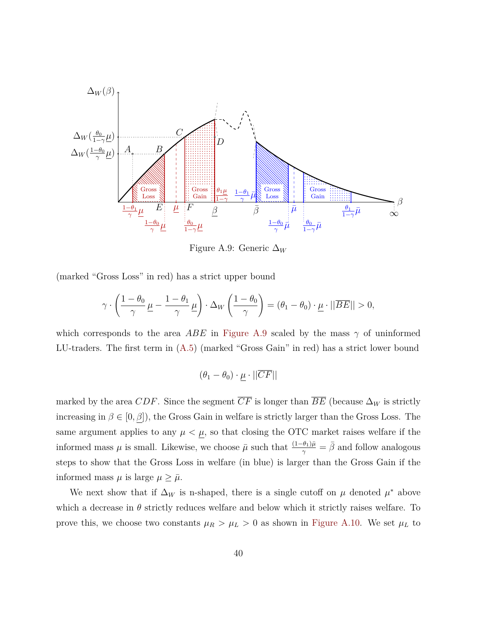<span id="page-40-0"></span>

Figure A.9: Generic ∆*<sup>W</sup>*

(marked "Gross Loss" in red) has a strict upper bound

$$
\gamma \cdot \left(\frac{1-\theta_0}{\gamma}\underline{\mu} - \frac{1-\theta_1}{\gamma}\underline{\mu}\right) \cdot \Delta_W\left(\frac{1-\theta_0}{\gamma}\right) = (\theta_1 - \theta_0) \cdot \underline{\mu} \cdot ||\overline{BE}|| > 0,
$$

which corresponds to the area *ABE* in [Figure A.9](#page-40-0) scaled by the mass  $\gamma$  of uninformed LU-traders. The first term in [\(A.5\)](#page-39-1) (marked "Gross Gain" in red) has a strict lower bound

$$
(\theta_1-\theta_0)\cdot \underline{\mu}\cdot ||\overline{CF}||
$$

marked by the area *CDF*. Since the segment  $\overline{CF}$  is longer than  $\overline{BE}$  (because  $\Delta_W$  is strictly increasing in  $\beta \in [0, \beta]$ , the Gross Gain in welfare is strictly larger than the Gross Loss. The same argument applies to any  $\mu < \mu$ , so that closing the OTC market raises welfare if the informed mass  $\mu$  is small. Likewise, we choose  $\bar{\mu}$  such that  $\frac{(1-\theta_1)\bar{\mu}}{\gamma} = \bar{\beta}$  and follow analogous steps to show that the Gross Loss in welfare (in blue) is larger than the Gross Gain if the informed mass  $\mu$  is large  $\mu \geq \bar{\mu}$ .

We next show that if  $\Delta_W$  is n-shaped, there is a single cutoff on  $\mu$  denoted  $\mu^*$  above which a decrease in  $\theta$  strictly reduces welfare and below which it strictly raises welfare. To prove this, we choose two constants  $\mu_R > \mu_L > 0$  as shown in [Figure A.10.](#page-42-0) We set  $\mu_L$  to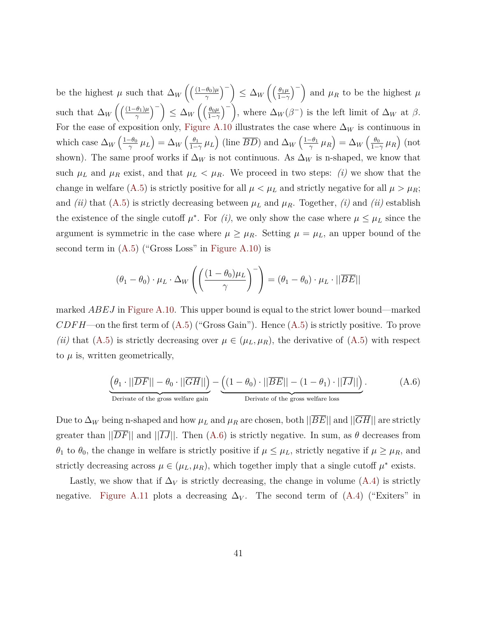be the highest  $\mu$  such that  $\Delta_W \left( \frac{(1-\theta_0)\mu}{\gamma} \right)$ *γ*  $\binom{1}{1}$   $\leq \Delta_W \left( \frac{\theta_1 \mu}{1 - \gamma} \right)$ 1−*γ*  $\binom{m}{k}$  and  $\mu_R$  to be the highest  $\mu$ such that  $\Delta_W \left( \left( \frac{(1-\theta_1)\mu}{\gamma} \right)$ *γ*  $\binom{1}{0}$   $\leq \Delta_W \left( \frac{\theta_0 \mu}{1-\gamma} \right)$ 1−*γ*  $\binom{m}{k}$ , where  $\Delta_W(\beta^-)$  is the left limit of  $\Delta_W$  at  $\beta$ . For the ease of exposition only, [Figure A.10](#page-42-0) illustrates the case where  $\Delta_W$  is continuous in which case  $\Delta_W \left( \frac{1-\theta_0}{\gamma} \right)$  $\frac{\partial \theta_0}{\partial \gamma} \mu_L \Big) = \Delta_W \left( \frac{\theta_1}{1 - \theta_1} \right)$  $\frac{\theta_1}{1-\gamma}$   $\mu_L$ ) (line  $\overline{BD}$ ) and  $\Delta_W$   $\left(\frac{1-\theta_1}{\gamma}\right)$  $\left(\frac{\theta_0}{\gamma} \mu_R \right) = \Delta_W \left(\frac{\theta_0}{1-\theta} \right)$  $\frac{\theta_0}{1-\gamma}$   $\mu_R$ ) (not shown). The same proof works if  $\Delta_W$  is not continuous. As  $\Delta_W$  is n-shaped, we know that such  $\mu_L$  and  $\mu_R$  exist, and that  $\mu_L < \mu_R$ . We proceed in two steps: *(i)* we show that the change in welfare [\(A.5\)](#page-39-1) is strictly positive for all  $\mu < \mu_L$  and strictly negative for all  $\mu > \mu_R$ ; and *(ii)* that  $(A.5)$  is strictly decreasing between  $\mu_L$  and  $\mu_R$ . Together, *(i)* and *(ii)* establish the existence of the single cutoff  $\mu^*$ . For *(i)*, we only show the case where  $\mu \leq \mu_L$  since the argument is symmetric in the case where  $\mu \geq \mu_R$ . Setting  $\mu = \mu_L$ , an upper bound of the second term in  $(A.5)$  ("Gross Loss" in [Figure A.10\)](#page-42-0) is

$$
(\theta_1 - \theta_0) \cdot \mu_L \cdot \Delta_W \left( \left( \frac{(1 - \theta_0)\mu_L}{\gamma} \right)^{-} \right) = (\theta_1 - \theta_0) \cdot \mu_L \cdot ||\overline{BE}||
$$

marked *ABEJ* in [Figure A.10.](#page-42-0) This upper bound is equal to the strict lower bound—marked  $CDFH$ —on the first term of  $(A.5)$  ("Gross Gain"). Hence  $(A.5)$  is strictly positive. To prove *(ii)* that [\(A.5\)](#page-39-1) is strictly decreasing over  $\mu \in (\mu_L, \mu_R)$ , the derivative of (A.5) with respect to  $\mu$  is, written geometrically,

<span id="page-41-0"></span>
$$
\underbrace{ \left( \theta_1 \cdot ||\overline{DF}|| - \theta_0 \cdot ||\overline{GH}|| \right)}_{\text{Derivate of the gross welfare gain}} - \underbrace{ \left( (1 - \theta_0) \cdot ||\overline{BE}|| - (1 - \theta_1) \cdot ||\overline{IJ}|| \right)}_{\text{Derivate of the gross welfare loss}}. \tag{A.6}
$$

Due to  $\Delta_W$  being n-shaped and how  $\mu_L$  and  $\mu_R$  are chosen, both  $\|\overline{BE}\|$  and  $\|\overline{GH}\|$  are strictly greater than  $||\overline{DF}||$  and  $||\overline{IJ}||$ . Then  $(A.6)$  is strictly negative. In sum, as  $\theta$  decreases from *θ*<sub>1</sub> to *θ*<sub>0</sub>, the change in welfare is strictly positive if  $\mu \leq \mu_L$ , strictly negative if  $\mu \geq \mu_R$ , and strictly decreasing across  $\mu \in (\mu_L, \mu_R)$ , which together imply that a single cutoff  $\mu^*$  exists.

Lastly, we show that if  $\Delta_V$  is strictly decreasing, the change in volume [\(A.4\)](#page-39-0) is strictly negative. [Figure A.11](#page-43-0) plots a decreasing  $\Delta_V$ . The second term of  $(A.4)$  ("Exiters" in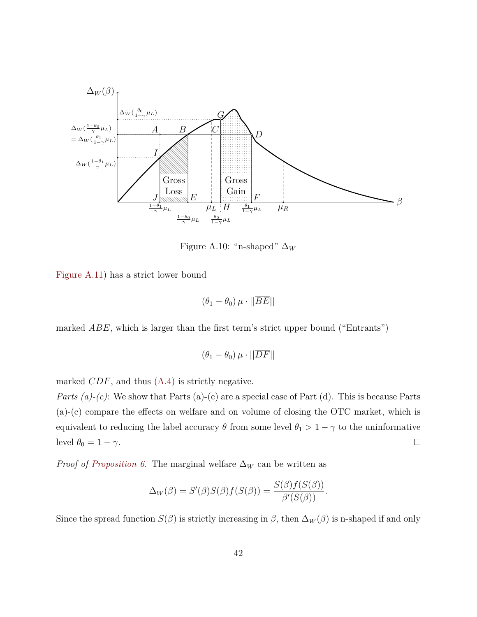<span id="page-42-0"></span>

Figure A.10: "n-shaped"  $\Delta_W$ 

[Figure A.11\)](#page-43-0) has a strict lower bound

$$
(\theta_1 - \theta_0)\,\mu \cdot ||\overline{BE}||
$$

marked *ABE*, which is larger than the first term's strict upper bound ("Entrants")

$$
(\theta_1 - \theta_0)\,\mu \cdot ||\overline{DF}||
$$

marked *CDF*, and thus [\(A.4\)](#page-39-0) is strictly negative.

*Parts (a)-(c)*: We show that Parts (a)-(c) are a special case of Part (d). This is because Parts (a)-(c) compare the effects on welfare and on volume of closing the OTC market, which is equivalent to reducing the label accuracy  $\theta$  from some level  $\theta_1 > 1 - \gamma$  to the uninformative level  $\theta_0 = 1 - \gamma$ .  $\Box$ 

*Proof of [Proposition 6.](#page-21-0)* The marginal welfare  $\Delta_W$  can be written as

$$
\Delta_W(\beta) = S'(\beta)S(\beta)f(S(\beta)) = \frac{S(\beta)f(S(\beta))}{\beta'(S(\beta))}.
$$

Since the spread function  $S(\beta)$  is strictly increasing in  $\beta$ , then  $\Delta_W(\beta)$  is n-shaped if and only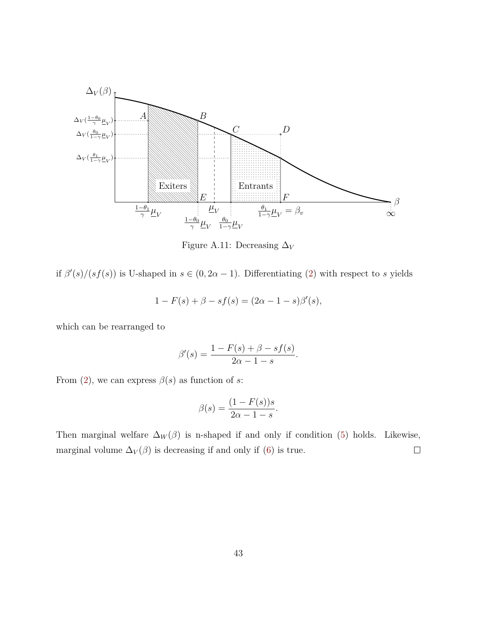<span id="page-43-0"></span>

Figure A.11: Decreasing ∆*<sup>V</sup>*

if  $\beta'(s)/(sf(s))$  is U-shaped in  $s \in (0, 2\alpha - 1)$ . Differentiating [\(2\)](#page-17-2) with respect to *s* yields

$$
1 - F(s) + \beta - sf(s) = (2\alpha - 1 - s)\beta'(s),
$$

which can be rearranged to

$$
\beta'(s) = \frac{1 - F(s) + \beta - sf(s)}{2\alpha - 1 - s}.
$$

From [\(2\)](#page-17-2), we can express  $\beta(s)$  as function of *s*:

$$
\beta(s) = \frac{(1 - F(s))s}{2\alpha - 1 - s}.
$$

Then marginal welfare  $\Delta_W(\beta)$  is n-shaped if and only if condition [\(5\)](#page-21-1) holds. Likewise, marginal volume  $\Delta_V(\beta)$  is decreasing if and only if [\(6\)](#page-21-2) is true.  $\Box$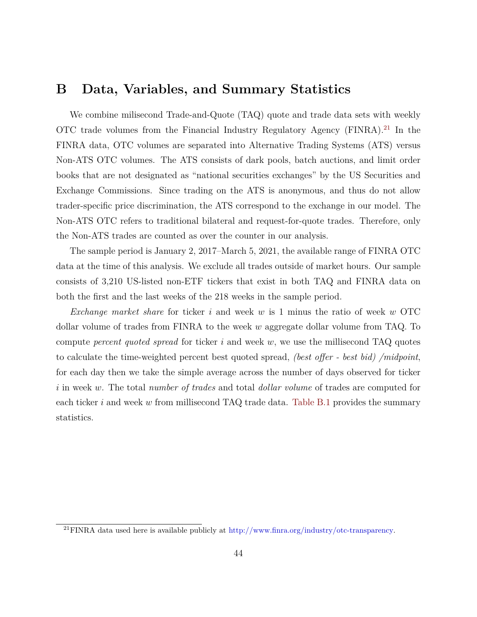## <span id="page-44-0"></span>**B Data, Variables, and Summary Statistics**

We combine milisecond Trade-and-Quote (TAQ) quote and trade data sets with weekly OTC trade volumes from the Financial Industry Regulatory Agency (FINRA).<sup>[21](#page-44-1)</sup> In the FINRA data, OTC volumes are separated into Alternative Trading Systems (ATS) versus Non-ATS OTC volumes. The ATS consists of dark pools, batch auctions, and limit order books that are not designated as "national securities exchanges" by the US Securities and Exchange Commissions. Since trading on the ATS is anonymous, and thus do not allow trader-specific price discrimination, the ATS correspond to the exchange in our model. The Non-ATS OTC refers to traditional bilateral and request-for-quote trades. Therefore, only the Non-ATS trades are counted as over the counter in our analysis.

The sample period is January 2, 2017–March 5, 2021, the available range of FINRA OTC data at the time of this analysis. We exclude all trades outside of market hours. Our sample consists of 3,210 US-listed non-ETF tickers that exist in both TAQ and FINRA data on both the first and the last weeks of the 218 weeks in the sample period.

*Exchange market share* for ticker *i* and week *w* is 1 minus the ratio of week *w* OTC dollar volume of trades from FINRA to the week *w* aggregate dollar volume from TAQ. To compute *percent quoted spread* for ticker *i* and week *w*, we use the millisecond TAQ quotes to calculate the time-weighted percent best quoted spread, *(best offer - best bid) /midpoint*, for each day then we take the simple average across the number of days observed for ticker *i* in week *w*. The total *number of trades* and total *dollar volume* of trades are computed for each ticker *i* and week *w* from millisecond TAQ trade data. [Table B.1](#page-45-0) provides the summary statistics.

<span id="page-44-1"></span><sup>&</sup>lt;sup>21</sup>FINRA data used here is available publicly at [http://www.finra.org/industry/otc-transparency.](http://www.finra.org/industry/otc-transparency)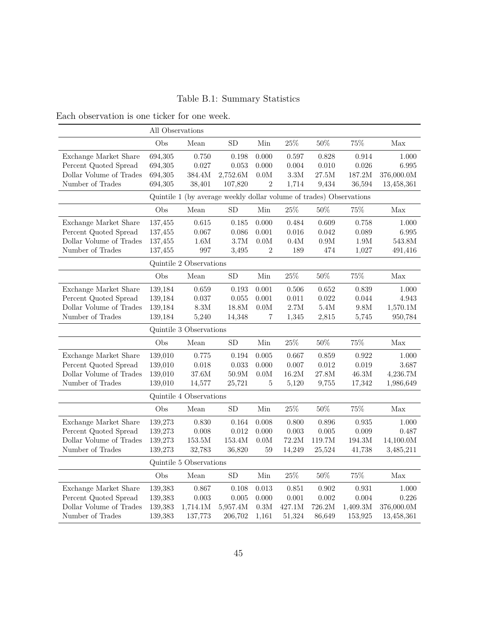## Table B.1: Summary Statistics

<span id="page-45-0"></span>Each observation is one ticker for one week.

| All Observations        |                                                                     |                         |            |                 |                   |              |               |                   |
|-------------------------|---------------------------------------------------------------------|-------------------------|------------|-----------------|-------------------|--------------|---------------|-------------------|
|                         | Obs                                                                 | Mean                    | SD         | Min             | $25\%$            | 50%          | 75%           | Max               |
| Exchange Market Share   | 694,305                                                             | 0.750                   | 0.198      | 0.000           | $0.597\,$         | 0.828        | 0.914         | 1.000             |
| Percent Quoted Spread   | 694,305                                                             | 0.027                   | 0.053      | 0.000           | 0.004             | 0.010        | 0.026         | 6.995             |
| Dollar Volume of Trades | 694,305                                                             | 384.4M                  | 2,752.6M   | 0.0M            | $3.3\rm M$        | $27.5\rm{M}$ | 187.2M        | 376,000.0M        |
| Number of Trades        | 694,305                                                             | 38,401                  | 107,820    | $\overline{2}$  | 1,714             | 9,434        | 36,594        | 13,458,361        |
|                         | Quintile 1 (by average weekly dollar volume of trades) Observations |                         |            |                 |                   |              |               |                   |
|                         | Obs                                                                 | Mean                    | ${\rm SD}$ | Min             | $25\%$            | $50\%$       | 75%           | Max               |
| Exchange Market Share   | 137,455                                                             | 0.615                   | 0.185      | 0.000           | 0.484             | 0.609        | 0.758         | 1.000             |
| Percent Quoted Spread   | 137,455                                                             | 0.067                   | 0.086      | 0.001           | $0.016\,$         | 0.042        | 0.089         | 6.995             |
| Dollar Volume of Trades | 137,455                                                             | 1.6M                    | 3.7M       | $0.0\mathrm{M}$ | $0.4\rm{M}$       | $0.9\rm{M}$  | $1.9\rm{M}$   | $543.8\mathrm{M}$ |
| Number of Trades        | 137,455                                                             | 997                     | 3,495      | $\overline{2}$  | 189               | 474          | 1,027         | 491,416           |
|                         |                                                                     | Quintile 2 Observations |            |                 |                   |              |               |                   |
|                         | Obs                                                                 | Mean                    | <b>SD</b>  | Min             | $25\%$            | $50\%$       | 75%           | Max               |
| Exchange Market Share   | 139,184                                                             | 0.659                   | 0.193      | 0.001           | 0.506             | 0.652        | 0.839         | $1.000\,$         |
| Percent Quoted Spread   | 139,184                                                             | 0.037                   | 0.055      | 0.001           | 0.011             | 0.022        | 0.044         | 4.943             |
| Dollar Volume of Trades | 139,184                                                             | $8.3\rm M$              | 18.8M      | 0.0M            | 2.7M              | $5.4\rm{M}$  | $9.8M$        | 1,570.1M          |
| Number of Trades        | 139,184                                                             | 5,240                   | 14,348     | 7               | 1,345             | 2,815        | 5,745         | 950,784           |
|                         | Quintile 3 Observations                                             |                         |            |                 |                   |              |               |                   |
|                         | Obs                                                                 | Mean                    | SD         | $\rm{Min}$      | $25\%$            | $50\%$       | 75%           | Max               |
| Exchange Market Share   | 139,010                                                             | 0.775                   | 0.194      | 0.005           | 0.667             | 0.859        | 0.922         | 1.000             |
| Percent Quoted Spread   | 139,010                                                             | 0.018                   | 0.033      | 0.000           | 0.007             | 0.012        | 0.019         | 3.687             |
| Dollar Volume of Trades | 139,010                                                             | 37.6M                   | 50.9M      | $0.0\mathrm{M}$ | $16.2\mbox{M}$    | 27.8M        | $46.3\rm{M}$  | 4,236.7M          |
| Number of Trades        | 139,010                                                             | 14,577                  | 25,721     | $\overline{5}$  | 5,120             | 9,755        | 17,342        | 1,986,649         |
|                         |                                                                     | Quintile 4 Observations |            |                 |                   |              |               |                   |
|                         | Obs                                                                 | Mean                    | SD         | Min             | $25\%$            | $50\%$       | 75%           | Max               |
| Exchange Market Share   | 139,273                                                             | 0.830                   | 0.164      | 0.008           | 0.800             | 0.896        | 0.935         | 1.000             |
| Percent Quoted Spread   | 139,273                                                             | 0.008                   | 0.012      | 0.000           | $0.003\,$         | 0.005        | 0.009         | 0.487             |
| Dollar Volume of Trades | 139,273                                                             | $153.5\rm{M}$           | 153.4M     | $0.0\mathrm{M}$ | 72.2M             | 119.7M       | $194.3\rm{M}$ | 14,100.0M         |
| Number of Trades        | 139,273                                                             | 32,783                  | 36,820     | 59              | 14,249            | 25,524       | 41,738        | 3,485,211         |
| Quintile 5 Observations |                                                                     |                         |            |                 |                   |              |               |                   |
|                         | Obs                                                                 | Mean                    | SD         | Min             | $25\%$            | 50%          | 75%           | Max               |
| Exchange Market Share   | 139,383                                                             | 0.867                   | 0.108      | $0.013\,$       | 0.851             | 0.902        | 0.931         | $1.000\,$         |
| Percent Quoted Spread   | 139,383                                                             | 0.003                   | 0.005      | 0.000           | 0.001             | 0.002        | 0.004         | 0.226             |
| Dollar Volume of Trades | 139,383                                                             | 1,714.1M                | 5,957.4M   | 0.3M            | $427.1\mathrm{M}$ | 726.2M       | 1,409.3M      | 376,000.0M        |
| Number of Trades        | 139,383                                                             | 137,773                 | 206,702    | 1,161           | 51,324            | 86,649       | 153,925       | 13,458,361        |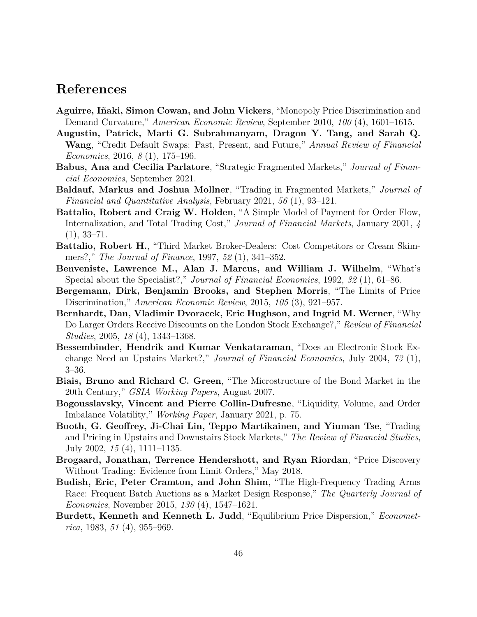## **References**

- <span id="page-46-13"></span>**Aguirre, Iñaki, Simon Cowan, and John Vickers**, "Monopoly Price Discrimination and Demand Curvature," *American Economic Review*, September 2010, *100* (4), 1601–1615.
- <span id="page-46-9"></span>**Augustin, Patrick, Marti G. Subrahmanyam, Dragon Y. Tang, and Sarah Q. Wang**, "Credit Default Swaps: Past, Present, and Future," *Annual Review of Financial Economics*, 2016, *8* (1), 175–196.
- <span id="page-46-1"></span>**Babus, Ana and Cecilia Parlatore**, "Strategic Fragmented Markets," *Journal of Financial Economics*, September 2021.
- <span id="page-46-2"></span>**Baldauf, Markus and Joshua Mollner**, "Trading in Fragmented Markets," *Journal of Financial and Quantitative Analysis*, February 2021, *56* (1), 93–121.
- <span id="page-46-10"></span>**Battalio, Robert and Craig W. Holden**, "A Simple Model of Payment for Order Flow, Internalization, and Total Trading Cost," *Journal of Financial Markets*, January 2001, *4*  $(1), 33-71.$
- <span id="page-46-11"></span>**Battalio, Robert H.**, "Third Market Broker-Dealers: Cost Competitors or Cream Skimmers?," *The Journal of Finance*, 1997, *52* (1), 341–352.
- <span id="page-46-0"></span>**Benveniste, Lawrence M., Alan J. Marcus, and William J. Wilhelm**, "What's Special about the Specialist?," *Journal of Financial Economics*, 1992, *32* (1), 61–86.
- <span id="page-46-14"></span>**Bergemann, Dirk, Benjamin Brooks, and Stephen Morris**, "The Limits of Price Discrimination," *American Economic Review*, 2015, *105* (3), 921–957.
- <span id="page-46-8"></span>**Bernhardt, Dan, Vladimir Dvoracek, Eric Hughson, and Ingrid M. Werner**, "Why Do Larger Orders Receive Discounts on the London Stock Exchange?," *Review of Financial Studies*, 2005, *18* (4), 1343–1368.
- <span id="page-46-7"></span>**Bessembinder, Hendrik and Kumar Venkataraman**, "Does an Electronic Stock Exchange Need an Upstairs Market?," *Journal of Financial Economics*, July 2004, *73* (1), 3–36.
- <span id="page-46-5"></span>**Biais, Bruno and Richard C. Green**, "The Microstructure of the Bond Market in the 20th Century," *GSIA Working Papers*, August 2007.
- <span id="page-46-3"></span>**Bogousslavsky, Vincent and Pierre Collin-Dufresne**, "Liquidity, Volume, and Order Imbalance Volatility," *Working Paper*, January 2021, p. 75.
- <span id="page-46-6"></span>**Booth, G. Geoffrey, Ji-Chai Lin, Teppo Martikainen, and Yiuman Tse**, "Trading and Pricing in Upstairs and Downstairs Stock Markets," *The Review of Financial Studies*, July 2002, *15* (4), 1111–1135.
- <span id="page-46-4"></span>**Brogaard, Jonathan, Terrence Hendershott, and Ryan Riordan**, "Price Discovery Without Trading: Evidence from Limit Orders," May 2018.
- <span id="page-46-12"></span>**Budish, Eric, Peter Cramton, and John Shim**, "The High-Frequency Trading Arms Race: Frequent Batch Auctions as a Market Design Response," *The Quarterly Journal of Economics*, November 2015, *130* (4), 1547–1621.
- <span id="page-46-15"></span>**Burdett, Kenneth and Kenneth L. Judd**, "Equilibrium Price Dispersion," *Econometrica*, 1983, *51* (4), 955–969.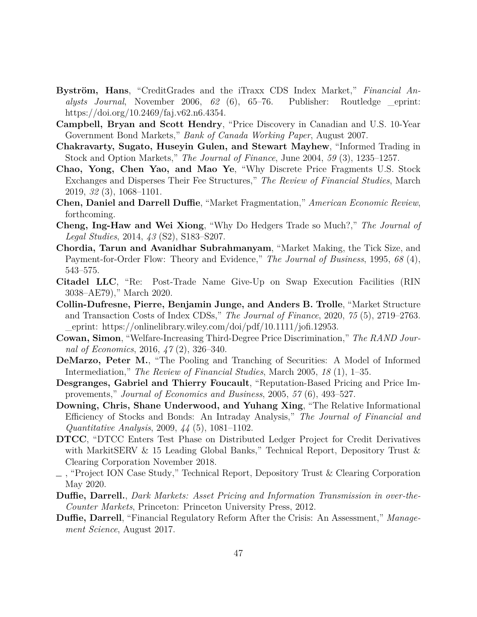- <span id="page-47-9"></span>**Byström, Hans**, "CreditGrades and the iTraxx CDS Index Market," *Financial Analysts Journal*, November 2006, *62* (6), 65–76. Publisher: Routledge \_eprint: https://doi.org/10.2469/faj.v62.n6.4354.
- <span id="page-47-6"></span>**Campbell, Bryan and Scott Hendry**, "Price Discovery in Canadian and U.S. 10-Year Government Bond Markets," *Bank of Canada Working Paper*, August 2007.
- <span id="page-47-7"></span>**Chakravarty, Sugato, Huseyin Gulen, and Stewart Mayhew**, "Informed Trading in Stock and Option Markets," *The Journal of Finance*, June 2004, *59* (3), 1235–1257.
- <span id="page-47-2"></span>**Chao, Yong, Chen Yao, and Mao Ye**, "Why Discrete Price Fragments U.S. Stock Exchanges and Disperses Their Fee Structures," *The Review of Financial Studies*, March 2019, *32* (3), 1068–1101.
- <span id="page-47-15"></span>**Chen, Daniel and Darrell Duffie**, "Market Fragmentation," *American Economic Review*, forthcoming.
- <span id="page-47-3"></span>**Cheng, Ing-Haw and Wei Xiong**, "Why Do Hedgers Trade so Much?," *The Journal of Legal Studies*, 2014, *43* (S2), S183–S207.
- <span id="page-47-12"></span>**Chordia, Tarun and Avanidhar Subrahmanyam**, "Market Making, the Tick Size, and Payment-for-Order Flow: Theory and Evidence," *The Journal of Business*, 1995, *68* (4), 543–575.
- <span id="page-47-11"></span>**Citadel LLC**, "Re: Post-Trade Name Give-Up on Swap Execution Facilities (RIN 3038–AE79)," March 2020.
- <span id="page-47-8"></span>**Collin-Dufresne, Pierre, Benjamin Junge, and Anders B. Trolle**, "Market Structure and Transaction Costs of Index CDSs," *The Journal of Finance*, 2020, *75* (5), 2719–2763. \_eprint: https://onlinelibrary.wiley.com/doi/pdf/10.1111/jofi.12953.
- <span id="page-47-16"></span>**Cowan, Simon**, "Welfare-Increasing Third-Degree Price Discrimination," *The RAND Journal of Economics*, 2016, *47* (2), 326–340.
- <span id="page-47-0"></span>**DeMarzo, Peter M.**, "The Pooling and Tranching of Securities: A Model of Informed Intermediation," *The Review of Financial Studies*, March 2005, *18* (1), 1–35.
- <span id="page-47-1"></span>**Desgranges, Gabriel and Thierry Foucault**, "Reputation-Based Pricing and Price Improvements," *Journal of Economics and Business*, 2005, *57* (6), 493–527.
- <span id="page-47-5"></span>**Downing, Chris, Shane Underwood, and Yuhang Xing**, "The Relative Informational Efficiency of Stocks and Bonds: An Intraday Analysis," *The Journal of Financial and Quantitative Analysis*, 2009, *44* (5), 1081–1102.
- <span id="page-47-13"></span>**DTCC**, "DTCC Enters Test Phase on Distributed Ledger Project for Credit Derivatives with MarkitSERV & 15 Leading Global Banks," Technical Report, Depository Trust & Clearing Corporation November 2018.
- <span id="page-47-14"></span>, "Project ION Case Study," Technical Report, Depository Trust & Clearing Corporation May 2020.
- <span id="page-47-4"></span>**Duffie, Darrell.**, *Dark Markets: Asset Pricing and Information Transmission in over-the-Counter Markets*, Princeton: Princeton University Press, 2012.
- <span id="page-47-10"></span>**Duffie, Darrell**, "Financial Regulatory Reform After the Crisis: An Assessment," *Management Science*, August 2017.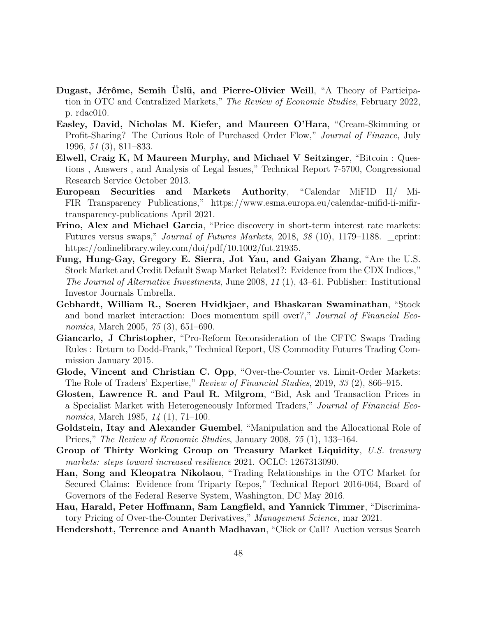- <span id="page-48-1"></span>**Dugast, Jérôme, Semih Üslü, and Pierre-Olivier Weill**, "A Theory of Participation in OTC and Centralized Markets," *The Review of Economic Studies*, February 2022, p. rdac010.
- <span id="page-48-11"></span>**Easley, David, Nicholas M. Kiefer, and Maureen O'Hara**, "Cream-Skimming or Profit-Sharing? The Curious Role of Purchased Order Flow," *Journal of Finance*, July 1996, *51* (3), 811–833.
- <span id="page-48-12"></span>**Elwell, Craig K, M Maureen Murphy, and Michael V Seitzinger**, "Bitcoin : Questions , Answers , and Analysis of Legal Issues," Technical Report 7-5700, Congressional Research Service October 2013.
- <span id="page-48-8"></span>**European Securities and Markets Authority**, "Calendar MiFID II/ Mi-FIR Transparency Publications," https://www.esma.europa.eu/calendar-mifid-ii-mifirtransparency-publications April 2021.
- <span id="page-48-7"></span>**Frino, Alex and Michael Garcia**, "Price discovery in short-term interest rate markets: Futures versus swaps," *Journal of Futures Markets*, 2018, *38* (10), 1179–1188. \_eprint: https://onlinelibrary.wiley.com/doi/pdf/10.1002/fut.21935.
- <span id="page-48-6"></span>**Fung, Hung-Gay, Gregory E. Sierra, Jot Yau, and Gaiyan Zhang**, "Are the U.S. Stock Market and Credit Default Swap Market Related?: Evidence from the CDX Indices," *The Journal of Alternative Investments*, June 2008, *11* (1), 43–61. Publisher: Institutional Investor Journals Umbrella.
- <span id="page-48-5"></span>**Gebhardt, William R., Soeren Hvidkjaer, and Bhaskaran Swaminathan**, "Stock and bond market interaction: Does momentum spill over?," *Journal of Financial Economics*, March 2005, *75* (3), 651–690.
- <span id="page-48-9"></span>**Giancarlo, J Christopher**, "Pro-Reform Reconsideration of the CFTC Swaps Trading Rules : Return to Dodd-Frank," Technical Report, US Commodity Futures Trading Commission January 2015.
- <span id="page-48-2"></span>**Glode, Vincent and Christian C. Opp**, "Over-the-Counter vs. Limit-Order Markets: The Role of Traders' Expertise," *Review of Financial Studies*, 2019, *33* (2), 866–915.
- <span id="page-48-3"></span>**Glosten, Lawrence R. and Paul R. Milgrom**, "Bid, Ask and Transaction Prices in a Specialist Market with Heterogeneously Informed Traders," *Journal of Financial Economics*, March 1985, *14* (1), 71–100.
- <span id="page-48-14"></span>**Goldstein, Itay and Alexander Guembel**, "Manipulation and the Allocational Role of Prices," *The Review of Economic Studies*, January 2008, *75* (1), 133–164.
- <span id="page-48-0"></span>**Group of Thirty Working Group on Treasury Market Liquidity**, *U.S. treasury markets: steps toward increased resilience* 2021. OCLC: 1267313090.
- <span id="page-48-4"></span>**Han, Song and Kleopatra Nikolaou**, "Trading Relationships in the OTC Market for Secured Claims: Evidence from Triparty Repos," Technical Report 2016-064, Board of Governors of the Federal Reserve System, Washington, DC May 2016.
- <span id="page-48-13"></span>**Hau, Harald, Peter Hoffmann, Sam Langfield, and Yannick Timmer**, "Discriminatory Pricing of Over-the-Counter Derivatives," *Management Science*, mar 2021.
- <span id="page-48-10"></span>**Hendershott, Terrence and Ananth Madhavan**, "Click or Call? Auction versus Search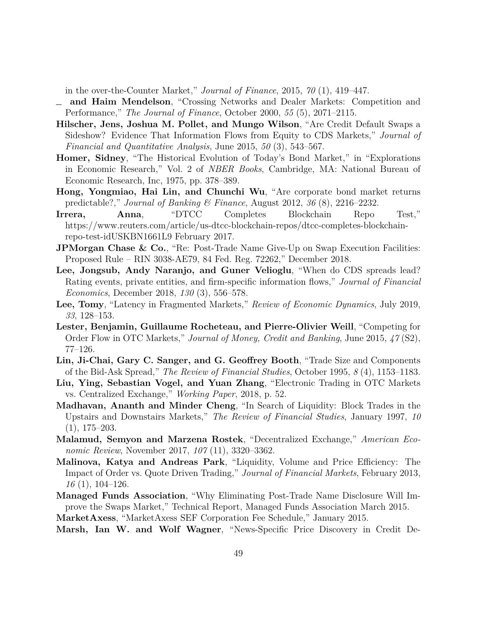in the over-the-Counter Market," *Journal of Finance*, 2015, *70* (1), 419–447.

- <span id="page-49-1"></span>**and Haim Mendelson**, "Crossing Networks and Dealer Markets: Competition and Performance," *The Journal of Finance*, October 2000, *55* (5), 2071–2115.
- <span id="page-49-6"></span>**Hilscher, Jens, Joshua M. Pollet, and Mungo Wilson**, "Are Credit Default Swaps a Sideshow? Evidence That Information Flows from Equity to CDS Markets," *Journal of Financial and Quantitative Analysis*, June 2015, *50* (3), 543–567.
- <span id="page-49-4"></span>**Homer, Sidney**, "The Historical Evolution of Today's Bond Market," in "Explorations in Economic Research," Vol. 2 of *NBER Books*, Cambridge, MA: National Bureau of Economic Research, Inc, 1975, pp. 378–389.
- <span id="page-49-3"></span>**Hong, Yongmiao, Hai Lin, and Chunchi Wu**, "Are corporate bond market returns predictable?," *Journal of Banking & Finance*, August 2012, *36* (8), 2216–2232.
- <span id="page-49-15"></span>**Irrera, Anna,** "DTCC Completes Blockchain Repo Test," https://www.reuters.com/article/us-dtcc-blockchain-repos/dtcc-completes-blockchainrepo-test-idUSKBN1661L9 February 2017.
- <span id="page-49-11"></span>**JPMorgan Chase & Co.**, "Re: Post-Trade Name Give-Up on Swap Execution Facilities: Proposed Rule – RIN 3038-AE79, 84 Fed. Reg. 72262," December 2018.
- <span id="page-49-8"></span>**Lee, Jongsub, Andy Naranjo, and Guner Velioglu**, "When do CDS spreads lead? Rating events, private entities, and firm-specific information flows," *Journal of Financial Economics*, December 2018, *130* (3), 556–578.
- <span id="page-49-2"></span>**Lee, Tomy**, "Latency in Fragmented Markets," *Review of Economic Dynamics*, July 2019, *33*, 128–153.
- <span id="page-49-12"></span>**Lester, Benjamin, Guillaume Rocheteau, and Pierre-Olivier Weill**, "Competing for Order Flow in OTC Markets," *Journal of Money, Credit and Banking*, June 2015, *47* (S2), 77–126.
- <span id="page-49-14"></span>**Lin, Ji-Chai, Gary C. Sanger, and G. Geoffrey Booth**, "Trade Size and Components of the Bid-Ask Spread," *The Review of Financial Studies*, October 1995, *8* (4), 1153–1183.
- <span id="page-49-13"></span>**Liu, Ying, Sebastian Vogel, and Yuan Zhang**, "Electronic Trading in OTC Markets vs. Centralized Exchange," *Working Paper*, 2018, p. 52.
- <span id="page-49-5"></span>**Madhavan, Ananth and Minder Cheng**, "In Search of Liquidity: Block Trades in the Upstairs and Downstairs Markets," *The Review of Financial Studies*, January 1997, *10* (1), 175–203.
- <span id="page-49-16"></span>**Malamud, Semyon and Marzena Rostek**, "Decentralized Exchange," *American Economic Review*, November 2017, *107* (11), 3320–3362.
- <span id="page-49-0"></span>**Malinova, Katya and Andreas Park**, "Liquidity, Volume and Price Efficiency: The Impact of Order vs. Quote Driven Trading," *Journal of Financial Markets*, February 2013, *16* (1), 104–126.
- <span id="page-49-10"></span>**Managed Funds Association**, "Why Eliminating Post-Trade Name Disclosure Will Improve the Swaps Market," Technical Report, Managed Funds Association March 2015.

<span id="page-49-9"></span>**MarketAxess**, "MarketAxess SEF Corporation Fee Schedule," January 2015.

<span id="page-49-7"></span>**Marsh, Ian W. and Wolf Wagner**, "News-Specific Price Discovery in Credit De-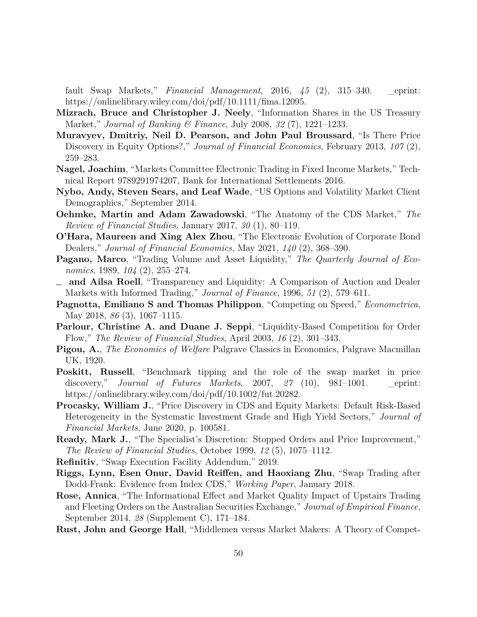fault Swap Markets," *Financial Management*, 2016, *45* (2), 315–340. \_eprint: https://onlinelibrary.wiley.com/doi/pdf/10.1111/fima.12095.

- <span id="page-50-10"></span>**Mizrach, Bruce and Christopher J. Neely**, "Information Shares in the US Treasury Market," *Journal of Banking & Finance*, July 2008, *32* (7), 1221–1233.
- <span id="page-50-11"></span>**Muravyev, Dmitriy, Neil D. Pearson, and John Paul Broussard**, "Is There Price Discovery in Equity Options?," *Journal of Financial Economics*, February 2013, *107* (2), 259–283.
- <span id="page-50-0"></span>**Nagel, Joachim**, "Markets Committee Electronic Trading in Fixed Income Markets," Technical Report 9789291974207, Bank for International Settlements 2016.
- <span id="page-50-7"></span>**Nybo, Andy, Steven Sears, and Leaf Wade**, "US Options and Volatility Market Client Demographics," September 2014.
- <span id="page-50-9"></span>**Oehmke, Martin and Adam Zawadowski**, "The Anatomy of the CDS Market," *The Review of Financial Studies*, January 2017, *30* (1), 80–119.
- <span id="page-50-16"></span>**O'Hara, Maureen and Xing Alex Zhou**, "The Electronic Evolution of Corporate Bond Dealers," *Journal of Financial Economics*, May 2021, *140* (2), 368–390.
- <span id="page-50-1"></span>**Pagano, Marco**, "Trading Volume and Asset Liquidity," *The Quarterly Journal of Economics*, 1989, *104* (2), 255–274.
- <span id="page-50-3"></span>**and Ailsa Roell**, "Transparency and Liquidity: A Comparison of Auction and Dealer Markets with Informed Trading," *Journal of Finance*, 1996, *51* (2), 579–611.
- <span id="page-50-6"></span>**Pagnotta, Emiliano S and Thomas Philippon**, "Competing on Speed," *Econometrica*, May 2018, *86* (3), 1067–1115.
- <span id="page-50-5"></span>**Parlour, Christine A. and Duane J. Seppi**, "Liquidity-Based Competition for Order Flow," *The Review of Financial Studies*, April 2003, *16* (2), 301–343.
- <span id="page-50-17"></span>**Pigou, A.**, *The Economics of Welfare* Palgrave Classics in Economics, Palgrave Macmillan UK, 1920.
- <span id="page-50-14"></span>**Poskitt, Russell**, "Benchmark tipping and the role of the swap market in price discovery," *Journal of Futures Markets*, 2007, *27* (10), 981–1001. \_eprint: https://onlinelibrary.wiley.com/doi/pdf/10.1002/fut.20282.
- <span id="page-50-13"></span>**Procasky, William J.**, "Price Discovery in CDS and Equity Markets: Default Risk-Based Heterogeneity in the Systematic Investment Grade and High Yield Sectors," *Journal of Financial Markets*, June 2020, p. 100581.
- <span id="page-50-4"></span>**Ready, Mark J.**, "The Specialist's Discretion: Stopped Orders and Price Improvement," *The Review of Financial Studies*, October 1999, *12* (5), 1075–1112.

<span id="page-50-15"></span>**Refinitiv**, "Swap Execution Facility Addendum," 2019.

- <span id="page-50-8"></span>**Riggs, Lynn, Esen Onur, David Reiffen, and Haoxiang Zhu**, "Swap Trading after Dodd-Frank: Evidence from Index CDS," *Working Paper*, January 2018.
- <span id="page-50-12"></span>**Rose, Annica**, "The Informational Effect and Market Quality Impact of Upstairs Trading and Fleeting Orders on the Australian Securities Exchange," *Journal of Empirical Finance*, September 2014, *28* (Supplement C), 171–184.
- <span id="page-50-2"></span>**Rust, John and George Hall**, "Middlemen versus Market Makers: A Theory of Compet-